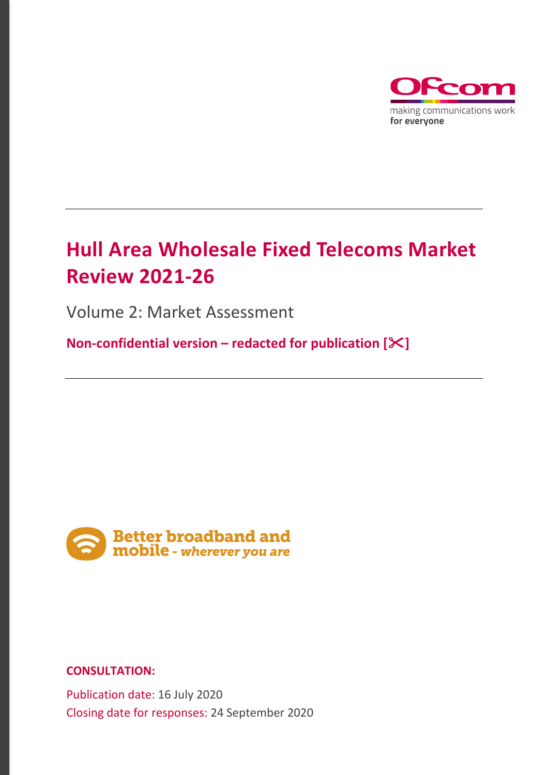

# **Hull Area Wholesale Fixed Telecoms Market Review 2021-26**

Volume 2: Market Assessment

**Non-confidential version – redacted for publication []**



# **CONSULTATION:**

Publication date: 16 July 2020 Closing date for responses: 24 September 2020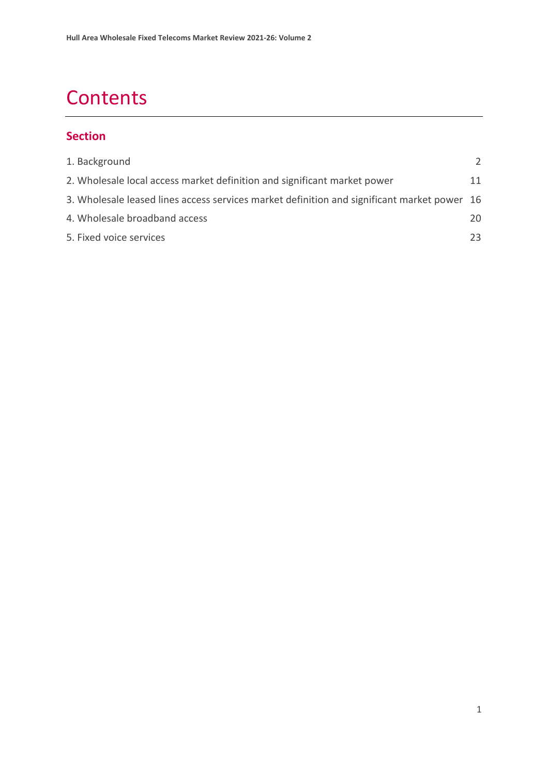# **Contents**

# **Section**

| 1. Background                                                                               |    |
|---------------------------------------------------------------------------------------------|----|
| 2. Wholesale local access market definition and significant market power                    | 11 |
| 3. Wholesale leased lines access services market definition and significant market power 16 |    |
| 4. Wholesale broadband access                                                               | 20 |
| 5. Fixed voice services                                                                     | 23 |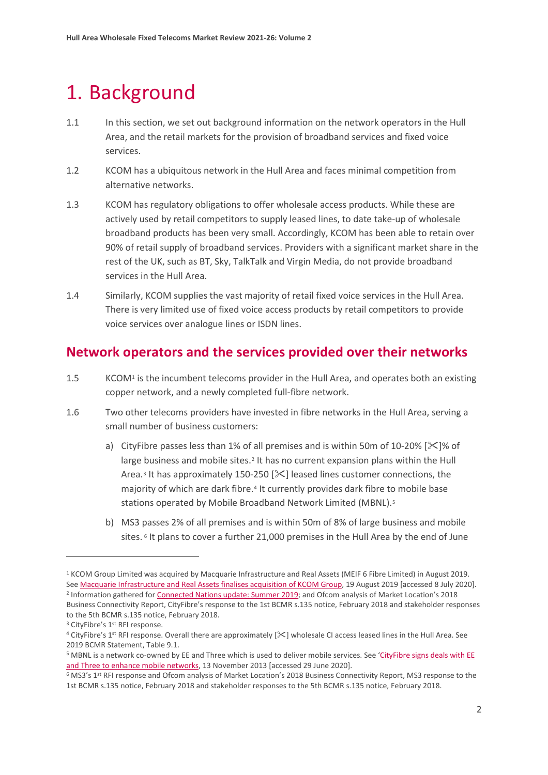# <span id="page-2-0"></span>1. Background

- 1.1 In this section, we set out background information on the network operators in the Hull Area, and the retail markets for the provision of broadband services and fixed voice services.
- 1.2 KCOM has a ubiquitous network in the Hull Area and faces minimal competition from alternative networks.
- 1.3 KCOM has regulatory obligations to offer wholesale access products. While these are actively used by retail competitors to supply leased lines, to date take-up of wholesale broadband products has been very small. Accordingly, KCOM has been able to retain over 90% of retail supply of broadband services. Providers with a significant market share in the rest of the UK, such as BT, Sky, TalkTalk and Virgin Media, do not provide broadband services in the Hull Area.
- 1.4 Similarly, KCOM supplies the vast majority of retail fixed voice services in the Hull Area. There is very limited use of fixed voice access products by retail competitors to provide voice services over analogue lines or ISDN lines.

# **Network operators and the services provided over their networks**

- 1.5 KCOM<sup>1</sup> is the incumbent telecoms provider in the Hull Area, and operates both an existing copper network, and a newly completed full-fibre network.
- 1.6 Two other telecoms providers have invested in fibre networks in the Hull Area, serving a small number of business customers:
	- a) CityFibre passes less than 1% of all premises and is within 50m of 10-20% [ $\ge$ ]% of large business and mobile sites.<sup>[2](#page-2-2)</sup> It has no current expansion plans within the Hull Area.<sup>[3](#page-2-3)</sup> It has approximately 150-250  $[\times]$  leased lines customer connections, the majority of which are dark fibre.[4](#page-2-4) It currently provides dark fibre to mobile base stations operated by Mobile Broadband Network Limited (MBNL).[5](#page-2-5)
	- b) MS3 passes 2% of all premises and is within 50m of 8% of large business and mobile sites.<sup>[6](#page-2-6)</sup> It plans to cover a further 21,000 premises in the Hull Area by the end of June

<span id="page-2-2"></span><span id="page-2-1"></span><sup>1</sup> KCOM Group Limited was acquired by Macquarie Infrastructure and Real Assets (MEIF 6 Fibre Limited) in August 2019. See [Macquarie Infrastructure and Real Assets finalises acquisition of KCOM Group,](https://www.macquarie.com/au/en/about/news/2019/macquarie-infrastructure-and-real-assets-finalises-acquisition-of-kcom-group.html) 19 August 2019 [accessed 8 July 2020]. <sup>2</sup> Information gathered fo[r Connected Nations update: Summer 2019;](https://www.ofcom.org.uk/research-and-data/multi-sector-research/infrastructure-research/connected-nations-update-summer-2019) and Ofcom analysis of Market Location's 2018 Business Connectivity Report, CityFibre's response to the 1st BCMR s.135 notice, February 2018 and stakeholder responses to the 5th BCMR s.135 notice, February 2018.

<span id="page-2-3"></span><sup>&</sup>lt;sup>3</sup> CityFibre's 1<sup>st</sup> RFI response.

<span id="page-2-4"></span> $4$  CityFibre's 1<sup>st</sup> RFI response. Overall there are approximately  $[\times]$  wholesale CI access leased lines in the Hull Area. See 2019 BCMR Statement, Table 9.1.

<span id="page-2-5"></span><sup>&</sup>lt;sup>5</sup> MBNL is a network co-owned by EE and Three which is used to deliver mobile services. See 'CityFibre signs deals with EE [and Three to enhance mobile networks,](https://www.cityfibre.com/news/20141112cityfibre-signs-dark-fibre-deals-with-ee-and-three-to-enhance-mobile-networks/) 13 November 2013 [accessed 29 June 2020].

<span id="page-2-6"></span><sup>6</sup> MS3's 1st RFI response and Ofcom analysis of Market Location's 2018 Business Connectivity Report, MS3 response to the 1st BCMR s.135 notice, February 2018 and stakeholder responses to the 5th BCMR s.135 notice, February 2018.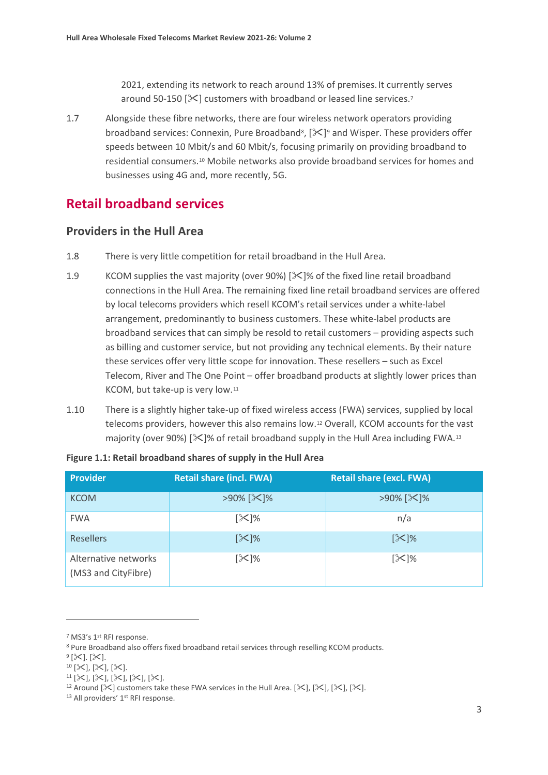2021, extending its network to reach around 13% of premises.It currently serves around 50-150  $[\mathcal{K}]$  customers with broadband or leased line services.<sup>[7](#page-3-0)</sup>

1.7 Alongside these fibre networks, there are four wireless network operators providing broadband services: Connexin, Pure Broadband<sup>[8](#page-3-1)</sup>,  $[\&e^{\cdot}]^9$  $[\&e^{\cdot}]^9$  and Wisper. These providers offer speeds between 10 Mbit/s and 60 Mbit/s, focusing primarily on providing broadband to residential consumers.[10](#page-3-3) Mobile networks also provide broadband services for homes and businesses using 4G and, more recently, 5G.

# **Retail broadband services**

## **Providers in the Hull Area**

- 1.8 There is very little competition for retail broadband in the Hull Area.
- 1.9 KCOM supplies the vast majority (over 90%) [ $\mathcal{K}$ ]% of the fixed line retail broadband connections in the Hull Area. The remaining fixed line retail broadband services are offered by local telecoms providers which resell KCOM's retail services under a white-label arrangement, predominantly to business customers. These white-label products are broadband services that can simply be resold to retail customers – providing aspects such as billing and customer service, but not providing any technical elements. By their nature these services offer very little scope for innovation. These resellers – such as Excel Telecom, River and The One Point – offer broadband products at slightly lower prices than KCOM, but take-up is very low.[11](#page-3-4)
- 1.10 There is a slightly higher take-up of fixed wireless access (FWA) services, supplied by local telecoms providers, however this also remains low.[12](#page-3-5) Overall, KCOM accounts for the vast majority (over 90%)  $[\&]$ % of retail broadband supply in the Hull Area including FWA.<sup>[13](#page-3-6)</sup>

| <b>Provider</b>                             | <b>Retail share (incl. FWA)</b> | <b>Retail share (excl. FWA)</b> |
|---------------------------------------------|---------------------------------|---------------------------------|
| <b>KCOM</b>                                 | >90% [ $\mathsf{\times}$ ]%     | >90% [ $\mathbb{X}$ ]%          |
| <b>FWA</b>                                  | $[\times]$ %                    | n/a                             |
| <b>Resellers</b>                            | $[\mathcal{K}]\%$               | $[\times]%$                     |
| Alternative networks<br>(MS3 and CityFibre) | $[\times]$ %                    | $[\mathcal{K}]\%$               |

| Figure 1.1: Retail broadband shares of supply in the Hull Area |  |  |
|----------------------------------------------------------------|--|--|
|----------------------------------------------------------------|--|--|

<span id="page-3-2"></span> $9$  [ $\times$ ]. [ $\times$ ].

<span id="page-3-0"></span><sup>7</sup> MS3's 1st RFI response.

<span id="page-3-1"></span><sup>8</sup> Pure Broadband also offers fixed broadband retail services through reselling KCOM products.

<span id="page-3-3"></span> $10$  [ $\times$ ], [ $\times$ ], [ $\times$ ].

<span id="page-3-4"></span> $^{11}$  [ $\times$ ], [ $\times$ ], [ $\times$ ], [ $\times$ ].

<span id="page-3-5"></span><sup>&</sup>lt;sup>12</sup> Around [ $\mathbb{X}$ ] customers take these FWA services in the Hull Area. [ $\mathbb{X}$ ], [ $\mathbb{X}$ ], [ $\mathbb{X}$ ], [ $\mathbb{X}$ ].

<span id="page-3-6"></span><sup>&</sup>lt;sup>13</sup> All providers' 1<sup>st</sup> RFI response.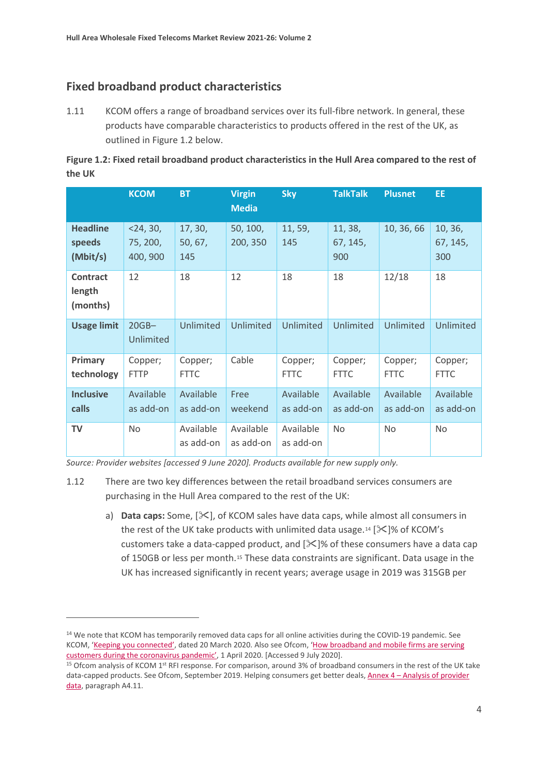# **Fixed broadband product characteristics**

1.11 KCOM offers a range of broadband services over its full-fibre network. In general, these products have comparable characteristics to products offered in the rest of the UK, as outlined in Figure 1.2 below.

| Figure 1.2: Fixed retail broadband product characteristics in the Hull Area compared to the rest of |  |
|-----------------------------------------------------------------------------------------------------|--|
| the UK                                                                                              |  |

|                                       | <b>KCOM</b>                         | <b>BT</b>                 | <b>Virgin</b><br><b>Media</b> | <b>Sky</b>             | <b>TalkTalk</b>            | <b>Plusnet</b>         | EE.                        |
|---------------------------------------|-------------------------------------|---------------------------|-------------------------------|------------------------|----------------------------|------------------------|----------------------------|
| <b>Headline</b><br>speeds<br>(Mbit/s) | $<$ 24, 30,<br>75, 200,<br>400, 900 | 17, 30,<br>50, 67,<br>145 | 50, 100,<br>200, 350          | 11, 59,<br>145         | 11, 38,<br>67, 145,<br>900 | 10, 36, 66             | 10, 36,<br>67, 145,<br>300 |
| <b>Contract</b><br>length<br>(months) | 12                                  | 18                        | 12                            | 18                     | 18                         | 12/18                  | 18                         |
| <b>Usage limit</b>                    | $20GB-$<br>Unlimited                | Unlimited                 | Unlimited                     | Unlimited              | Unlimited                  | Unlimited              | Unlimited                  |
| Primary<br>technology                 | Copper;<br><b>FTTP</b>              | Copper;<br><b>FTTC</b>    | Cable                         | Copper;<br><b>FTTC</b> | Copper;<br><b>FTTC</b>     | Copper;<br><b>FTTC</b> | Copper;<br><b>FTTC</b>     |
| <b>Inclusive</b><br>calls             | Available<br>as add-on              | Available<br>as add-on    | Free<br>weekend               | Available<br>as add-on | Available<br>as add-on     | Available<br>as add-on | Available<br>as add-on     |
| <b>TV</b>                             | <b>No</b>                           | Available<br>as add-on    | Available<br>as add-on        | Available<br>as add-on | <b>No</b>                  | <b>No</b>              | <b>No</b>                  |

*Source: Provider websites [accessed 9 June 2020]. Products available for new supply only.*

- 1.12 There are two key differences between the retail broadband services consumers are purchasing in the Hull Area compared to the rest of the UK:
	- a) **Data caps:** Some,  $[\<]$ , of KCOM sales have data caps, while almost all consumers in the rest of the UK take products with unlimited data usage.<sup>[14](#page-4-0)</sup> [ $\angle$ ]% of KCOM's customers take a data-capped product, and  $[\&\&\]$ % of these consumers have a data cap of 150GB or less per month.[15](#page-4-1) These data constraints are significant. Data usage in the UK has increased significantly in recent years; average usage in 2019 was 315GB per

<span id="page-4-0"></span><sup>&</sup>lt;sup>14</sup> We note that KCOM has temporarily removed data caps for all online activities during the COVID-19 pandemic. See KCOM, ['Keeping you connected',](https://www.kcomhome.com/discover/categories/kcom-news/keeping-you-connected/) dated 20 March 2020. Also see Ofcom, 'How broadband and mobile firms are serving [customers during the coronavirus pandemic',](https://www.ofcom.org.uk/about-ofcom/latest/features-and-news/broadband-and-mobile-firms-commit-helping-customers-during-coronavirus) 1 April 2020. [Accessed 9 July 2020].

<span id="page-4-1"></span><sup>&</sup>lt;sup>15</sup> Ofcom analysis of KCOM 1<sup>st</sup> RFI response. For comparison, around 3% of broadband consumers in the rest of the UK take data-capped products. See Ofcom, September 2019. Helping consumers get better deals, Annex 4 - Analysis of provider [data,](https://www.ofcom.org.uk/__data/assets/pdf_file/0023/168053/annex-analysis-of-provider-data.pdf) paragraph A4.11.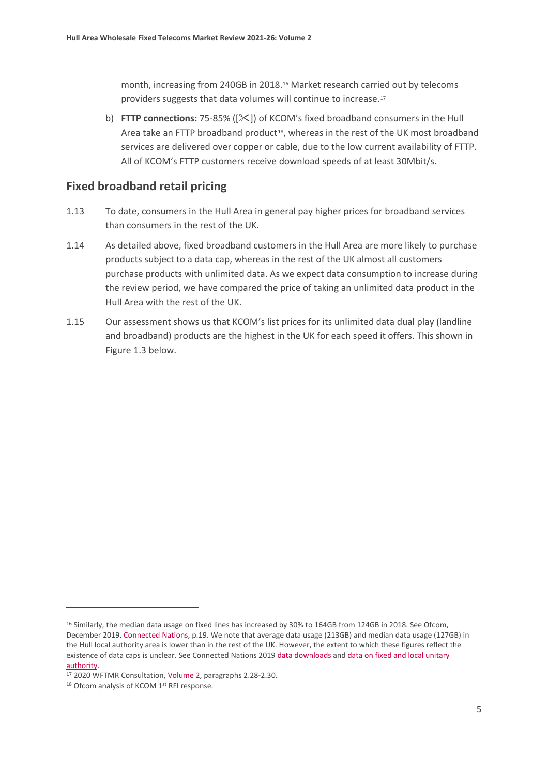month, increasing from 240GB in 2018.[16](#page-5-0) Market research carried out by telecoms providers suggests that data volumes will continue to increase.[17](#page-5-1)

b) **FTTP connections:** 75-85% ([ $\ge$ ]) of KCOM's fixed broadband consumers in the Hull Area take an FTTP broadband product $18$ , whereas in the rest of the UK most broadband services are delivered over copper or cable, due to the low current availability of FTTP. All of KCOM's FTTP customers receive download speeds of at least 30Mbit/s.

## **Fixed broadband retail pricing**

- 1.13 To date, consumers in the Hull Area in general pay higher prices for broadband services than consumers in the rest of the UK.
- 1.14 As detailed above, fixed broadband customers in the Hull Area are more likely to purchase products subject to a data cap, whereas in the rest of the UK almost all customers purchase products with unlimited data. As we expect data consumption to increase during the review period, we have compared the price of taking an unlimited data product in the Hull Area with the rest of the UK.
- 1.15 Our assessment shows us that KCOM's list prices for its unlimited data dual play (landline and broadband) products are the highest in the UK for each speed it offers. This shown in Figure 1.3 below.

<span id="page-5-0"></span><sup>&</sup>lt;sup>16</sup> Similarly, the median data usage on fixed lines has increased by 30% to 164GB from 124GB in 2018. See Ofcom, December 2019. [Connected Nations,](https://www.ofcom.org.uk/__data/assets/pdf_file/0023/186413/Connected-Nations-2019-UK-final.pdf) p.19. We note that average data usage (213GB) and median data usage (127GB) in the Hull local authority area is lower than in the rest of the UK. However, the extent to which these figures reflect the existence of data caps is unclear. See Connected Nations 2019 data [downloads](https://www.ofcom.org.uk/research-and-data/multi-sector-research/infrastructure-research/connected-nations-2019/data-downloads) and data on fixed and local unitary [authority.](https://www.ofcom.org.uk/__data/assets/file/0029/186635/connected-nations-2019-fixed-local-unitary-authority.zip)

<span id="page-5-1"></span><sup>&</sup>lt;sup>17</sup> 2020 WFTMR Consultation, *Volume 2*, paragraphs 2.28-2.30.

<span id="page-5-2"></span><sup>18</sup> Ofcom analysis of KCOM 1<sup>st</sup> RFI response.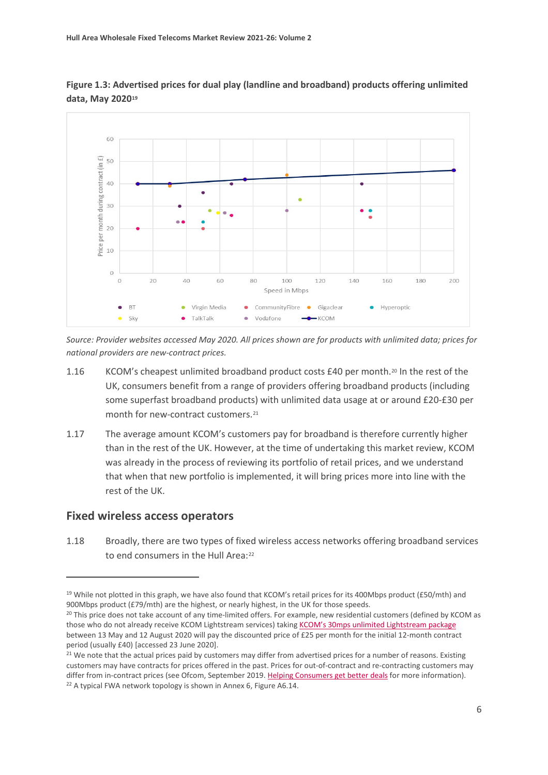

**Figure 1.3: Advertised prices for dual play (landline and broadband) products offering unlimited data, May 2020[19](#page-6-0)**

*Source: Provider websites accessed May 2020. All prices shown are for products with unlimited data; prices for national providers are new-contract prices.* 

- 1.16 KCOM's cheapest unlimited broadband product costs £40 per month.<sup>[20](#page-6-1)</sup> In the rest of the UK, consumers benefit from a range of providers offering broadband products (including some superfast broadband products) with unlimited data usage at or around £20-£30 per month for new-contract customers.<sup>21</sup>
- 1.17 The average amount KCOM's customers pay for broadband is therefore currently higher than in the rest of the UK. However, at the time of undertaking this market review, KCOM was already in the process of reviewing its portfolio of retail prices, and we understand that when that new portfolio is implemented, it will bring prices more into line with the rest of the UK.

## **Fixed wireless access operators**

1.18 Broadly, there are two types of fixed wireless access networks offering broadband services to end consumers in the Hull Area:<sup>[22](#page-6-3)</sup>

<span id="page-6-0"></span> $19$  While not plotted in this graph, we have also found that KCOM's retail prices for its 400Mbps product (£50/mth) and 900Mbps product (£79/mth) are the highest, or nearly highest, in the UK for those speeds.

<span id="page-6-1"></span><sup>&</sup>lt;sup>20</sup> This price does not take account of any time-limited offers. For example, new residential customers (defined by KCOM as those who do not already receive KCOM Lightstream services) takin[g KCOM's 30mps unlimited Lightstream package](https://www.kcomhome.com/lightstream/?kcomid=6b2b261c-532d-4d44-a2f2-144a8baab98f) between 13 May and 12 August 2020 will pay the discounted price of £25 per month for the initial 12-month contract period (usually £40) [accessed 23 June 2020].<br><sup>21</sup> We note that the actual prices paid by customers may differ from advertised prices for a number of reasons. Existing

<span id="page-6-3"></span><span id="page-6-2"></span>customers may have contracts for prices offered in the past. Prices for out-of-contract and re-contracting customers may differ from in-contract prices (see Ofcom, September 2019. Helping Consumers get better deals for more information).<br><sup>22</sup> A typical FWA network topology is shown in Annex 6, Figure A6.14.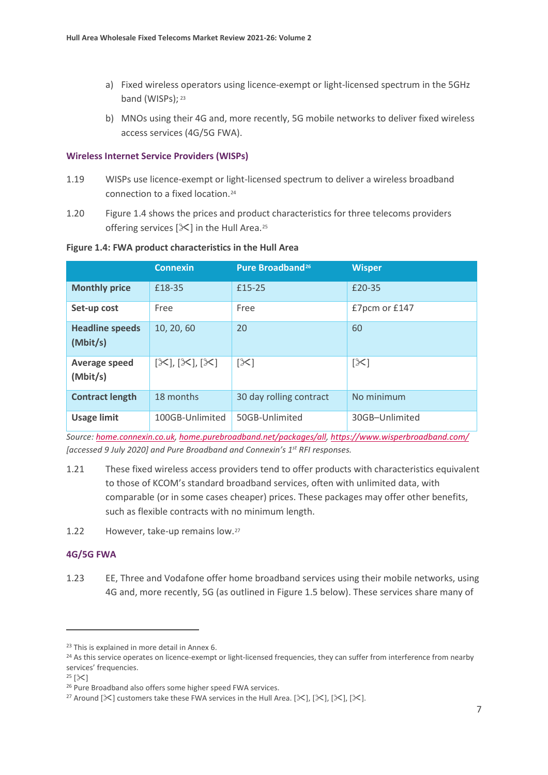- a) Fixed wireless operators using licence-exempt or light-licensed spectrum in the 5GHz band (WISPs); [23](#page-7-0)
- b) MNOs using their 4G and, more recently, 5G mobile networks to deliver fixed wireless access services (4G/5G FWA).

#### **Wireless Internet Service Providers (WISPs)**

- 1.19 WISPs use licence-exempt or light-licensed spectrum to deliver a wireless broadband connection to a fixed location.[24](#page-7-1)
- 1.20 Figure 1.4 shows the prices and product characteristics for three telecoms providers offering services  $[\mathbb{X}]$  in the Hull Area.<sup>[25](#page-7-2)</sup>

#### **Figure 1.4: FWA product characteristics in the Hull Area**

|                                    | <b>Connexin</b>                               | Pure Broadband <sup>26</sup> | <b>Wisper</b>  |
|------------------------------------|-----------------------------------------------|------------------------------|----------------|
| <b>Monthly price</b>               | £18-35                                        | £15-25                       | £20-35         |
| Set-up cost                        | Free                                          | Free                         | £7pcm or £147  |
| <b>Headline speeds</b><br>(Mbit/s) | 10, 20, 60                                    | 20                           | 60             |
| Average speed<br>(Mbit/s)          | $[\mathcal{K}], [\mathcal{K}], [\mathcal{K}]$ | $[\times]$                   | $[\times]$     |
| <b>Contract length</b>             | 18 months                                     | 30 day rolling contract      | No minimum     |
| <b>Usage limit</b>                 | 100GB-Unlimited                               | 50GB-Unlimited               | 30GB-Unlimited |

*Source: [home.connexin.co.uk,](http://home.connexin.co.uk/) [home.purebroadband.net/packages/all,](http://home.purebroadband.net/packages/all)<https://www.wisperbroadband.com/> [accessed 9 July 2020] and Pure Broadband and Connexin's 1st RFI responses.*

1.21 These fixed wireless access providers tend to offer products with characteristics equivalent to those of KCOM's standard broadband services, often with unlimited data, with comparable (or in some cases cheaper) prices. These packages may offer other benefits, such as flexible contracts with no minimum length.

1.22 However, take-up remains low.[27](#page-7-4)

#### **4G/5G FWA**

1.23 EE, Three and Vodafone offer home broadband services using their mobile networks, using 4G and, more recently, 5G (as outlined in Figure 1.5 below). These services share many of

<span id="page-7-2"></span> $25$   $\left[\frac{3}{2}\right]$ 

<span id="page-7-0"></span><sup>&</sup>lt;sup>23</sup> This is explained in more detail in Annex 6.

<span id="page-7-1"></span><sup>&</sup>lt;sup>24</sup> As this service operates on licence-exempt or light-licensed frequencies, they can suffer from interference from nearby services' frequencies.

<span id="page-7-3"></span><sup>&</sup>lt;sup>26</sup> Pure Broadband also offers some higher speed FWA services.

<span id="page-7-4"></span><sup>&</sup>lt;sup>27</sup> Around  $[\&]$  customers take these FWA services in the Hull Area.  $[\&]$ ,  $[\&]$ ,  $[\&]$ ,  $[\&]$ .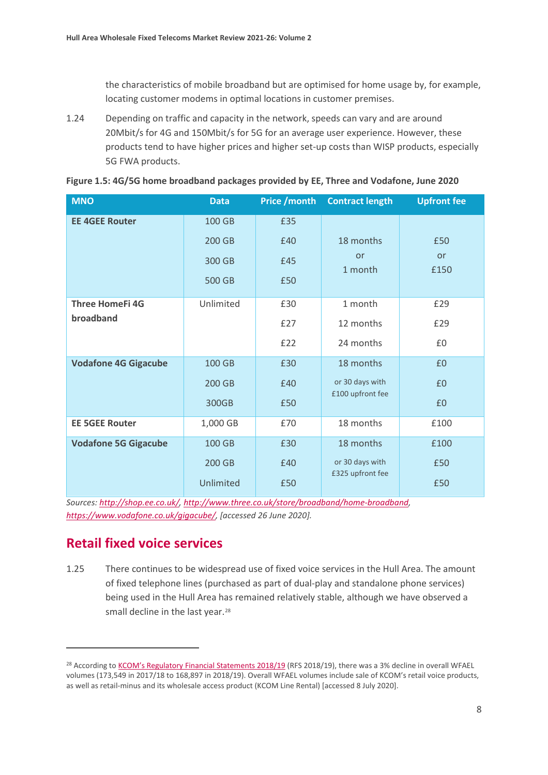the characteristics of mobile broadband but are optimised for home usage by, for example, locating customer modems in optimal locations in customer premises.

1.24 Depending on traffic and capacity in the network, speeds can vary and are around 20Mbit/s for 4G and 150Mbit/s for 5G for an average user experience. However, these products tend to have higher prices and higher set-up costs than WISP products, especially 5G FWA products.

| <b>MNO</b>                  | <b>Data</b> | <b>Price / month</b> | <b>Contract length</b> | <b>Upfront fee</b> |
|-----------------------------|-------------|----------------------|------------------------|--------------------|
| <b>EE 4GEE Router</b>       | 100 GB      | £35                  |                        |                    |
|                             | 200 GB      | £40                  | 18 months              | £50                |
|                             | 300 GB      | £45                  | or<br>1 month          | or<br>£150         |
|                             | 500 GB      | £50                  |                        |                    |
| <b>Three HomeFi 4G</b>      | Unlimited   | £30                  | 1 month                | £29                |
| broadband                   |             | £27                  | 12 months              | £29                |
|                             |             | £22                  | 24 months              | £0                 |
| <b>Vodafone 4G Gigacube</b> | 100 GB      | £30                  | 18 months              | £0                 |
|                             | 200 GB      | £40                  | or 30 days with        | £0                 |
|                             | 300GB       | £50                  | £100 upfront fee       | £0                 |
| <b>EE 5GEE Router</b>       | 1,000 GB    | £70                  | 18 months              | £100               |
| <b>Vodafone 5G Gigacube</b> | 100 GB      | £30                  | 18 months              | £100               |
|                             | 200 GB      | £40                  | or 30 days with        | £50                |
|                             | Unlimited   | £50                  | £325 upfront fee       | £50                |

**Figure 1.5: 4G/5G home broadband packages provided by EE, Three and Vodafone, June 2020**

*Sources: [http://shop.ee.co.uk/,](http://shop.ee.co.uk/) [http://www.three.co.uk/store/broadband/home-broadband,](http://www.three.co.uk/store/broadband/home-broadband) [https://www.vodafone.co.uk/gigacube/,](https://www.vodafone.co.uk/gigacube/) [accessed 26 June 2020].* 

# **Retail fixed voice services**

1.25 There continues to be widespread use of fixed voice services in the Hull Area. The amount of fixed telephone lines (purchased as part of dual-play and standalone phone services) being used in the Hull Area has remained relatively stable, although we have observed a small decline in the last year.<sup>[28](#page-8-0)</sup>

<span id="page-8-0"></span><sup>&</sup>lt;sup>28</sup> According t[o KCOM's Regulatory Financial Statements 2018/19](https://www.kcomgroupltd.com/media/1493/ofcom-statements-2018_19.pdf) (RFS 2018/19), there was a 3% decline in overall WFAEL volumes (173,549 in 2017/18 to 168,897 in 2018/19). Overall WFAEL volumes include sale of KCOM's retail voice products, as well as retail-minus and its wholesale access product (KCOM Line Rental) [accessed 8 July 2020].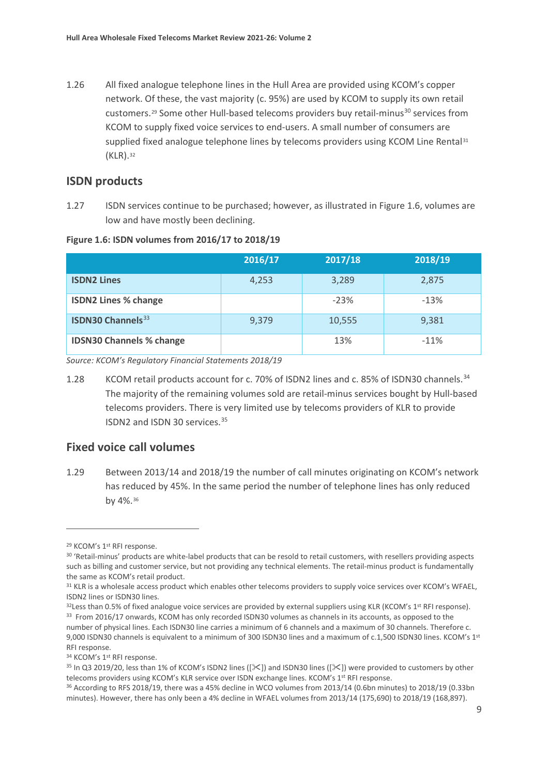1.26 All fixed analogue telephone lines in the Hull Area are provided using KCOM's copper network. Of these, the vast majority (c. 95%) are used by KCOM to supply its own retail customers.<sup>[29](#page-9-0)</sup> Some other Hull-based telecoms providers buy retail-minus<sup>[30](#page-9-1)</sup> services from KCOM to supply fixed voice services to end-users. A small number of consumers are supplied fixed analogue telephone lines by telecoms providers using KCOM Line Rental<sup>[31](#page-9-2)</sup> (KLR).[32](#page-9-3)

#### **ISDN products**

1.27 ISDN services continue to be purchased; however, as illustrated in Figure 1.6, volumes are low and have mostly been declining.

**Figure 1.6: ISDN volumes from 2016/17 to 2018/19**

|                                      | 2016/17 | 2017/18 | 2018/19 |
|--------------------------------------|---------|---------|---------|
| <b>ISDN2 Lines</b>                   | 4,253   | 3,289   | 2,875   |
| <b>ISDN2 Lines % change</b>          |         | $-23%$  | $-13%$  |
| <b>ISDN30 Channels</b> <sup>33</sup> | 9.379   | 10,555  | 9,381   |
| <b>IDSN30 Channels % change</b>      |         | 13%     | $-11%$  |

*Source: KCOM's Regulatory Financial Statements 2018/19*

1.28 KCOM retail products account for c. 70% of ISDN2 lines and c. 85% of ISDN30 channels.<sup>[34](#page-9-5)</sup> The majority of the remaining volumes sold are retail-minus services bought by Hull-based telecoms providers. There is very limited use by telecoms providers of KLR to provide ISDN2 and ISDN 30 services. [35](#page-9-6)

### **Fixed voice call volumes**

1.29 Between 2013/14 and 2018/19 the number of call minutes originating on KCOM's network has reduced by 45%. In the same period the number of telephone lines has only reduced by 4%.[36](#page-9-7)

<span id="page-9-0"></span><sup>&</sup>lt;sup>29</sup> KCOM's 1<sup>st</sup> RFI response.

<span id="page-9-1"></span><sup>30 &#</sup>x27;Retail-minus' products are white-label products that can be resold to retail customers, with resellers providing aspects such as billing and customer service, but not providing any technical elements. The retail-minus product is fundamentally the same as KCOM's retail product.

<span id="page-9-2"></span><sup>31</sup> KLR is a wholesale access product which enables other telecoms providers to supply voice services over KCOM's WFAEL, ISDN2 lines or ISDN30 lines.

<span id="page-9-4"></span><span id="page-9-3"></span> $32$ Less than 0.5% of fixed analogue voice services are provided by external suppliers using KLR (KCOM's 1<sup>st</sup> RFI response). 33 From 2016/17 onwards, KCOM has only recorded ISDN30 volumes as channels in its accounts, as opposed to the number of physical lines. Each ISDN30 line carries a minimum of 6 channels and a maximum of 30 channels. Therefore c. 9,000 ISDN30 channels is equivalent to a minimum of 300 ISDN30 lines and a maximum of c.1,500 ISDN30 lines. KCOM's 1<sup>st</sup> RFI response.

<span id="page-9-5"></span><sup>34</sup> KCOM's 1st RFI response.

<span id="page-9-6"></span><sup>&</sup>lt;sup>35</sup> In Q3 2019/20, less than 1% of KCOM's ISDN2 lines ( $[\times]$ ) and ISDN30 lines ( $[\times]$ ) were provided to customers by other telecoms providers using KCOM's KLR service over ISDN exchange lines. KCOM's 1<sup>st</sup> RFI response.

<span id="page-9-7"></span><sup>&</sup>lt;sup>36</sup> According to RFS 2018/19, there was a 45% decline in WCO volumes from 2013/14 (0.6bn minutes) to 2018/19 (0.33bn minutes). However, there has only been a 4% decline in WFAEL volumes from 2013/14 (175,690) to 2018/19 (168,897).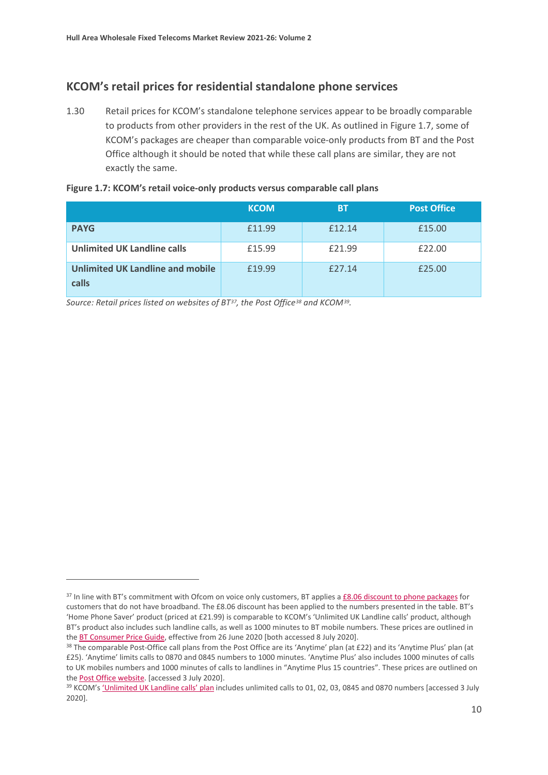# **KCOM's retail prices for residential standalone phone services**

1.30 Retail prices for KCOM's standalone telephone services appear to be broadly comparable to products from other providers in the rest of the UK. As outlined in Figure 1.7, some of KCOM's packages are cheaper than comparable voice-only products from BT and the Post Office although it should be noted that while these call plans are similar, they are not exactly the same.

|                                                  | <b>KCOM</b> | <b>BT</b> | <b>Post Office</b> |
|--------------------------------------------------|-------------|-----------|--------------------|
| <b>PAYG</b>                                      | £11.99      | £12.14    | £15.00             |
| <b>Unlimited UK Landline calls</b>               | £15.99      | £21.99    | £22.00             |
| <b>Unlimited UK Landline and mobile</b><br>calls | £19.99      | £27.14    | £25.00             |

*Source: Retail prices listed on websites of BT[37,](#page-10-0) the Post Office[38](#page-10-1) and KCOM[39](#page-10-2).* 

<span id="page-10-0"></span><sup>37</sup> In line with BT's commitment with Ofcom on voice only customers, BT applies [a £8.06 discount to phone packages](https://btplc.com/inclusion/MakingCallingEasier/Managingyourbudget/index.htm) for customers that do not have broadband. The £8.06 discount has been applied to the numbers presented in the table. BT's 'Home Phone Saver' product (priced at £21.99) is comparable to KCOM's 'Unlimited UK Landline calls' product, although BT's product also includes such landline calls, as well as 1000 minutes to BT mobile numbers. These prices are outlined in the BT Consumer Price Guide, effective from 26 June 2020 [both accessed 8 July 2020].<br><sup>38</sup> The comparable Post-Office call plans from the Post Office are its 'Anytime' plan (at £22) and its 'Anytime Plus' plan (at

<span id="page-10-1"></span><sup>£25). &#</sup>x27;Anytime' limits calls to 0870 and 0845 numbers to 1000 minutes. 'Anytime Plus' also includes 1000 minutes of calls to UK mobiles numbers and 1000 minutes of calls to landlines in "Anytime Plus 15 countries". These prices are outlined on

<span id="page-10-2"></span>th[e Post Office website.](https://www.postoffice.co.uk/broadband-phone/home-phone) [accessed 3 July 2020].<br><sup>39</sup> KCOM'[s 'Unlimited UK Landline calls' plan](https://www.kcomhome.com/calls/?kcomid=4fbb2cf1-fa86-4560-98e4-a8f20a5d5481) includes unlimited calls to 01, 02, 03, 0845 and 0870 numbers [accessed 3 July 2020].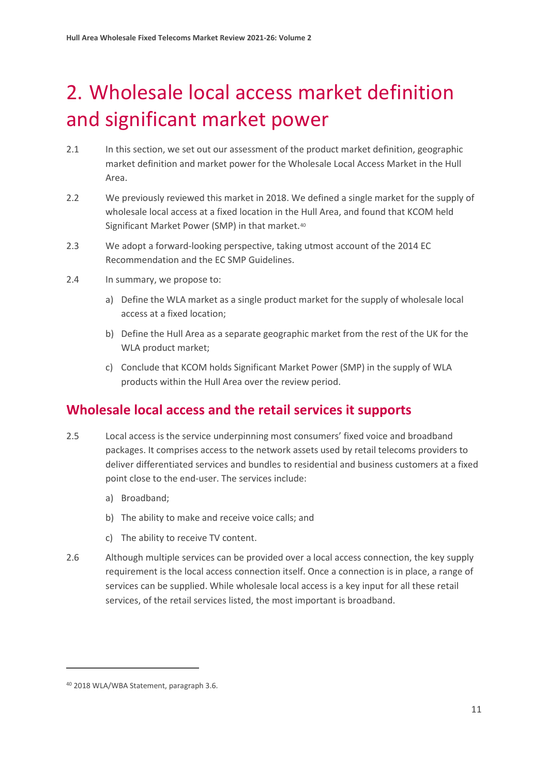# <span id="page-11-0"></span>2. Wholesale local access market definition and significant market power

- 2.1 In this section, we set out our assessment of the product market definition, geographic market definition and market power for the Wholesale Local Access Market in the Hull Area.
- 2.2 We previously reviewed this market in 2018. We defined a single market for the supply of wholesale local access at a fixed location in the Hull Area, and found that KCOM held Significant Market Power (SMP) in that market.<sup>[40](#page-11-1)</sup>
- 2.3 We adopt a forward-looking perspective, taking utmost account of the 2014 EC Recommendation and the EC SMP Guidelines.
- 2.4 In summary, we propose to:
	- a) Define the WLA market as a single product market for the supply of wholesale local access at a fixed location;
	- b) Define the Hull Area as a separate geographic market from the rest of the UK for the WLA product market;
	- c) Conclude that KCOM holds Significant Market Power (SMP) in the supply of WLA products within the Hull Area over the review period.

# **Wholesale local access and the retail services it supports**

- 2.5 Local access is the service underpinning most consumers' fixed voice and broadband packages. It comprises access to the network assets used by retail telecoms providers to deliver differentiated services and bundles to residential and business customers at a fixed point close to the end-user. The services include:
	- a) Broadband;
	- b) The ability to make and receive voice calls; and
	- c) The ability to receive TV content.
- 2.6 Although multiple services can be provided over a local access connection, the key supply requirement is the local access connection itself. Once a connection is in place, a range of services can be supplied. While wholesale local access is a key input for all these retail services, of the retail services listed, the most important is broadband.

<span id="page-11-1"></span><sup>40</sup> 2018 WLA/WBA Statement, paragraph 3.6.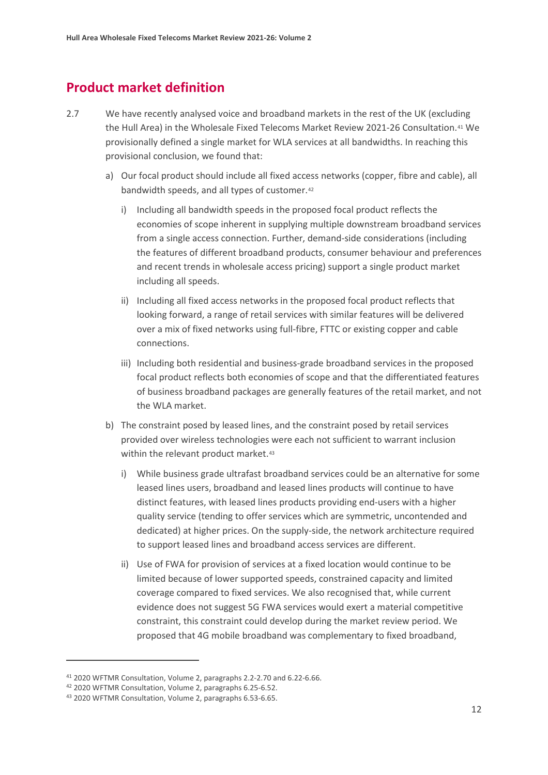# **Product market definition**

- 2.7 We have recently analysed voice and broadband markets in the rest of the UK (excluding the Hull Area) in the Wholesale Fixed Telecoms Market Review 2021-26 Consultation.[41](#page-12-0) We provisionally defined a single market for WLA services at all bandwidths. In reaching this provisional conclusion, we found that:
	- a) Our focal product should include all fixed access networks (copper, fibre and cable), all bandwidth speeds, and all types of customer.[42](#page-12-1)
		- i) Including all bandwidth speeds in the proposed focal product reflects the economies of scope inherent in supplying multiple downstream broadband services from a single access connection. Further, demand-side considerations (including the features of different broadband products, consumer behaviour and preferences and recent trends in wholesale access pricing) support a single product market including all speeds.
		- ii) Including all fixed access networks in the proposed focal product reflects that looking forward, a range of retail services with similar features will be delivered over a mix of fixed networks using full-fibre, FTTC or existing copper and cable connections.
		- iii) Including both residential and business-grade broadband services in the proposed focal product reflects both economies of scope and that the differentiated features of business broadband packages are generally features of the retail market, and not the WLA market.
	- b) The constraint posed by leased lines, and the constraint posed by retail services provided over wireless technologies were each not sufficient to warrant inclusion within the relevant product market.<sup>[43](#page-12-2)</sup>
		- i) While business grade ultrafast broadband services could be an alternative for some leased lines users, broadband and leased lines products will continue to have distinct features, with leased lines products providing end-users with a higher quality service (tending to offer services which are symmetric, uncontended and dedicated) at higher prices. On the supply-side, the network architecture required to support leased lines and broadband access services are different.
		- ii) Use of FWA for provision of services at a fixed location would continue to be limited because of lower supported speeds, constrained capacity and limited coverage compared to fixed services. We also recognised that, while current evidence does not suggest 5G FWA services would exert a material competitive constraint, this constraint could develop during the market review period. We proposed that 4G mobile broadband was complementary to fixed broadband,

<span id="page-12-1"></span><span id="page-12-0"></span><sup>&</sup>lt;sup>41</sup> 2020 WFTMR Consultation, Volume 2, paragraphs 2.2-2.70 and 6.22-6.66.<br><sup>42</sup> 2020 WFTMR Consultation, Volume 2, paragraphs 6.25-6.52.

<span id="page-12-2"></span><sup>43</sup> 2020 WFTMR Consultation, Volume 2, paragraphs 6.53-6.65.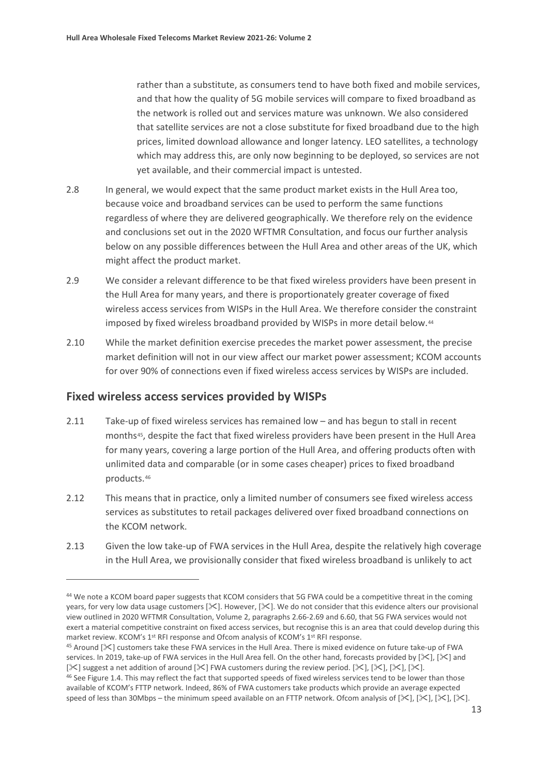rather than a substitute, as consumers tend to have both fixed and mobile services, and that how the quality of 5G mobile services will compare to fixed broadband as the network is rolled out and services mature was unknown. We also considered that satellite services are not a close substitute for fixed broadband due to the high prices, limited download allowance and longer latency. LEO satellites, a technology which may address this, are only now beginning to be deployed, so services are not yet available, and their commercial impact is untested.

- 2.8 In general, we would expect that the same product market exists in the Hull Area too, because voice and broadband services can be used to perform the same functions regardless of where they are delivered geographically. We therefore rely on the evidence and conclusions set out in the 2020 WFTMR Consultation, and focus our further analysis below on any possible differences between the Hull Area and other areas of the UK, which might affect the product market.
- 2.9 We consider a relevant difference to be that fixed wireless providers have been present in the Hull Area for many years, and there is proportionately greater coverage of fixed wireless access services from WISPs in the Hull Area. We therefore consider the constraint imposed by fixed wireless broadband provided by WISPs in more detail below.[44](#page-13-0)
- 2.10 While the market definition exercise precedes the market power assessment, the precise market definition will not in our view affect our market power assessment; KCOM accounts for over 90% of connections even if fixed wireless access services by WISPs are included.

### **Fixed wireless access services provided by WISPs**

- 2.11 Take-up of fixed wireless services has remained low and has begun to stall in recent months<sup>[45](#page-13-1)</sup>, despite the fact that fixed wireless providers have been present in the Hull Area for many years, covering a large portion of the Hull Area, and offering products often with unlimited data and comparable (or in some cases cheaper) prices to fixed broadband products.[46](#page-13-2)
- 2.12 This means that in practice, only a limited number of consumers see fixed wireless access services as substitutes to retail packages delivered over fixed broadband connections on the KCOM network.
- 2.13 Given the low take-up of FWA services in the Hull Area, despite the relatively high coverage in the Hull Area, we provisionally consider that fixed wireless broadband is unlikely to act

<span id="page-13-0"></span><sup>44</sup> We note a KCOM board paper suggests that KCOM considers that 5G FWA could be a competitive threat in the coming years, for very low data usage customers  $[\&]$ . However,  $[\&]$ . We do not consider that this evidence alters our provisional view outlined in 2020 WFTMR Consultation, Volume 2, paragraphs 2.66-2.69 and 6.60, that 5G FWA services would not exert a material competitive constraint on fixed access services, but recognise this is an area that could develop during this market review. KCOM's 1<sup>st</sup> RFI response and Ofcom analysis of KCOM's 1<sup>st</sup> RFI response.

<span id="page-13-1"></span> $45$  Around [ $\ll$ ] customers take these FWA services in the Hull Area. There is mixed evidence on future take-up of FWA services. In 2019, take-up of FWA services in the Hull Area fell. On the other hand, forecasts provided by [ $\mathbb{X}$ ], [ $\mathbb{X}$ ] and [ $\times$ ] suggest a net addition of around [ $\times$ ] FWA customers during the review period. [ $\times$ ], [ $\times$ ], [ $\times$ ], [ $\times$ ].

<span id="page-13-2"></span><sup>46</sup> See Figure 1.4. This may reflect the fact that supported speeds of fixed wireless services tend to be lower than those available of KCOM's FTTP network. Indeed, 86% of FWA customers take products which provide an average expected speed of less than 30Mbps – the minimum speed available on an FTTP network. Ofcom analysis of  $[\times]$ ,  $[\times]$ ,  $[\times]$ ,  $[\times]$ ,  $[\times]$ .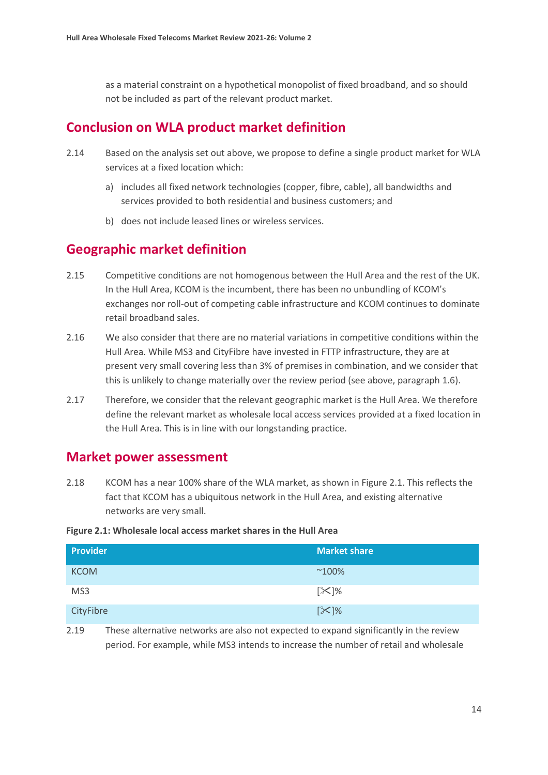as a material constraint on a hypothetical monopolist of fixed broadband, and so should not be included as part of the relevant product market.

# **Conclusion on WLA product market definition**

- 2.14 Based on the analysis set out above, we propose to define a single product market for WLA services at a fixed location which:
	- a) includes all fixed network technologies (copper, fibre, cable), all bandwidths and services provided to both residential and business customers; and
	- b) does not include leased lines or wireless services.

# **Geographic market definition**

- 2.15 Competitive conditions are not homogenous between the Hull Area and the rest of the UK. In the Hull Area, KCOM is the incumbent, there has been no unbundling of KCOM's exchanges nor roll-out of competing cable infrastructure and KCOM continues to dominate retail broadband sales.
- 2.16 We also consider that there are no material variations in competitive conditions within the Hull Area. While MS3 and CityFibre have invested in FTTP infrastructure, they are at present very small covering less than 3% of premises in combination, and we consider that this is unlikely to change materially over the review period (see above, paragraph 1.6).
- 2.17 Therefore, we consider that the relevant geographic market is the Hull Area. We therefore define the relevant market as wholesale local access services provided at a fixed location in the Hull Area. This is in line with our longstanding practice.

# **Market power assessment**

2.18 KCOM has a near 100% share of the WLA market, as shown in Figure 2.1. This reflects the fact that KCOM has a ubiquitous network in the Hull Area, and existing alternative networks are very small.

#### **Figure 2.1: Wholesale local access market shares in the Hull Area**

| <b>Provider</b> | <b>Market share</b> |
|-----------------|---------------------|
| <b>KCOM</b>     | $^{\sim}100\%$      |
| MS3             | $[\mathcal{K}]\%$   |
| CityFibre       | $[\mathcal{K}]\%$   |

2.19 These alternative networks are also not expected to expand significantly in the review period. For example, while MS3 intends to increase the number of retail and wholesale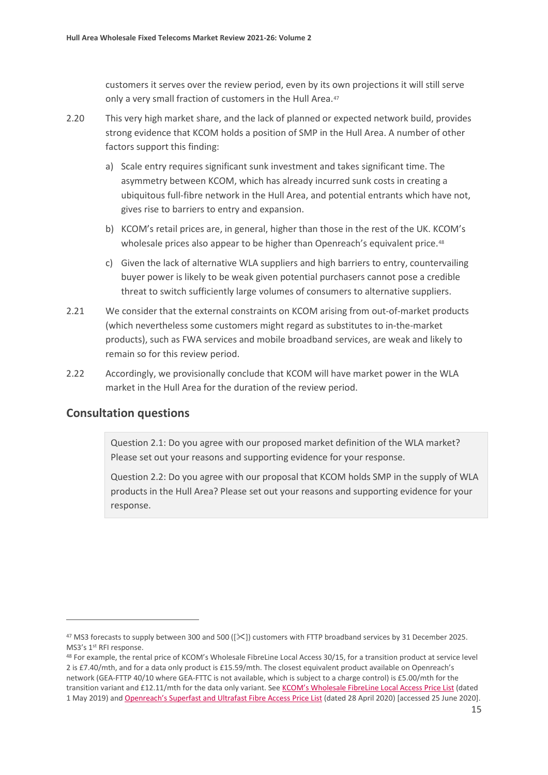customers it serves over the review period, even by its own projections it will still serve only a very small fraction of customers in the Hull Area.<sup>[47](#page-15-0)</sup>

- 2.20 This very high market share, and the lack of planned or expected network build, provides strong evidence that KCOM holds a position of SMP in the Hull Area. A number of other factors support this finding:
	- a) Scale entry requires significant sunk investment and takes significant time. The asymmetry between KCOM, which has already incurred sunk costs in creating a ubiquitous full-fibre network in the Hull Area, and potential entrants which have not, gives rise to barriers to entry and expansion.
	- b) KCOM's retail prices are, in general, higher than those in the rest of the UK. KCOM's wholesale prices also appear to be higher than Openreach's equivalent price.<sup>[48](#page-15-1)</sup>
	- c) Given the lack of alternative WLA suppliers and high barriers to entry, countervailing buyer power is likely to be weak given potential purchasers cannot pose a credible threat to switch sufficiently large volumes of consumers to alternative suppliers.
- 2.21 We consider that the external constraints on KCOM arising from out-of-market products (which nevertheless some customers might regard as substitutes to in-the-market products), such as FWA services and mobile broadband services, are weak and likely to remain so for this review period.
- 2.22 Accordingly, we provisionally conclude that KCOM will have market power in the WLA market in the Hull Area for the duration of the review period.

### **Consultation questions**

Question 2.1: Do you agree with our proposed market definition of the WLA market? Please set out your reasons and supporting evidence for your response.

Question 2.2: Do you agree with our proposal that KCOM holds SMP in the supply of WLA products in the Hull Area? Please set out your reasons and supporting evidence for your response.

<span id="page-15-0"></span><sup>&</sup>lt;sup>47</sup> MS3 forecasts to supply between 300 and 500 ( $[\&$ ) customers with FTTP broadband services by 31 December 2025. MS3's 1<sup>st</sup> RFI response.

<span id="page-15-1"></span><sup>48</sup> For example, the rental price of KCOM's Wholesale FibreLine Local Access 30/15, for a transition product at service level 2 is £7.40/mth, and for a data only product is £15.59/mth. The closest equivalent product available on Openreach's network (GEA-FTTP 40/10 where GEA-FTTC is not available, which is subject to a charge control) is £5.00/mth for the transition variant and £12.11/mth for the data only variant. See [KCOM's Wholesale FibreLine Local Access Price List](http://pricing.kcomhome.com/media/1573/p13-s27_wholesale_fibreline_local_access.pdf) (dated 1 May 2019) an[d Openreach's Superfast and Ultrafast Fibre Access Price List](https://www.openreach.co.uk/orpg/home/products/pricing/loadProductPriceDetails.do?data=M80QNeH46o4g6JKGD604vTypQOKfNn%2Beo6vmoVhAOBZZ6rNZujnCs99NbIKJZPD9hXYmiijxH6wrCQm97GZMyQ%3D%3D) (dated 28 April 2020) [accessed 25 June 2020].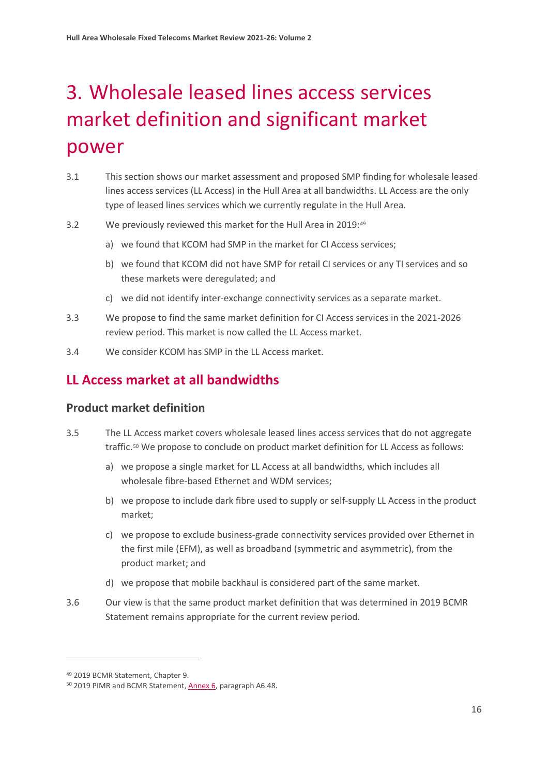# <span id="page-16-0"></span>3. Wholesale leased lines access services market definition and significant market power

- 3.1 This section shows our market assessment and proposed SMP finding for wholesale leased lines access services (LL Access) in the Hull Area at all bandwidths. LL Access are the only type of leased lines services which we currently regulate in the Hull Area.
- 3.2 We previously reviewed this market for the Hull Area in 2019:[49](#page-16-1)
	- a) we found that KCOM had SMP in the market for CI Access services;
	- b) we found that KCOM did not have SMP for retail CI services or any TI services and so these markets were deregulated; and
	- c) we did not identify inter-exchange connectivity services as a separate market.
- 3.3 We propose to find the same market definition for CI Access services in the 2021-2026 review period. This market is now called the LL Access market.
- 3.4 We consider KCOM has SMP in the LL Access market.

# **LL Access market at all bandwidths**

## **Product market definition**

- 3.5 The LL Access market covers wholesale leased lines access services that do not aggregate traffic.[50](#page-16-2) We propose to conclude on product market definition for LL Access as follows:
	- a) we propose a single market for LL Access at all bandwidths, which includes all wholesale fibre-based Ethernet and WDM services;
	- b) we propose to include dark fibre used to supply or self-supply LL Access in the product market;
	- c) we propose to exclude business-grade connectivity services provided over Ethernet in the first mile (EFM), as well as broadband (symmetric and asymmetric), from the product market; and
	- d) we propose that mobile backhaul is considered part of the same market.
- 3.6 Our view is that the same product market definition that was determined in 2019 BCMR Statement remains appropriate for the current review period.

<span id="page-16-1"></span><sup>49</sup> 2019 BCMR Statement, Chapter 9.

<span id="page-16-2"></span><sup>50</sup> 2019 PIMR and BCMR Statement[, Annex](https://www.ofcom.org.uk/__data/assets/pdf_file/0028/154594/pimr-bcmr-llcc-final-statement-annexes-1-25.pdf) 6, paragraph A6.48.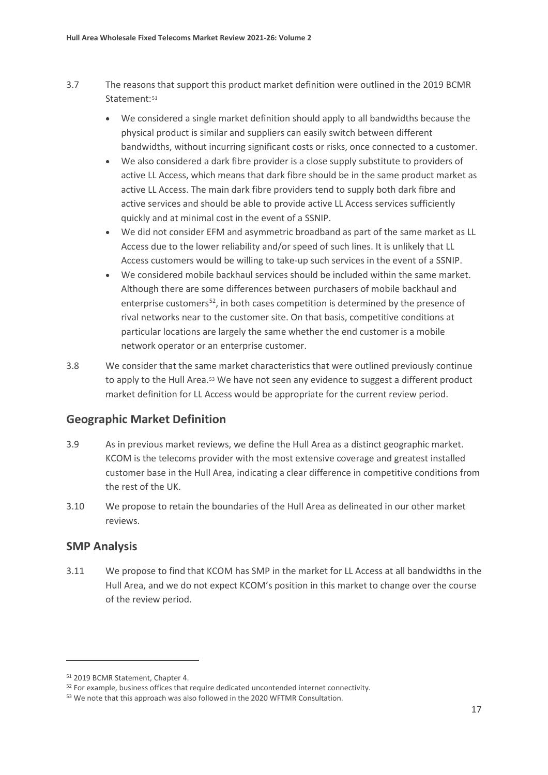- 3.7 The reasons that support this product market definition were outlined in the 2019 BCMR Statement:<sup>[51](#page-17-0)</sup>
	- We considered a single market definition should apply to all bandwidths because the physical product is similar and suppliers can easily switch between different bandwidths, without incurring significant costs or risks, once connected to a customer.
	- We also considered a dark fibre provider is a close supply substitute to providers of active LL Access, which means that dark fibre should be in the same product market as active LL Access. The main dark fibre providers tend to supply both dark fibre and active services and should be able to provide active LL Access services sufficiently quickly and at minimal cost in the event of a SSNIP.
	- We did not consider EFM and asymmetric broadband as part of the same market as LL Access due to the lower reliability and/or speed of such lines. It is unlikely that LL Access customers would be willing to take-up such services in the event of a SSNIP.
	- We considered mobile backhaul services should be included within the same market. Although there are some differences between purchasers of mobile backhaul and enterprise customers<sup>[52](#page-17-1)</sup>, in both cases competition is determined by the presence of rival networks near to the customer site. On that basis, competitive conditions at particular locations are largely the same whether the end customer is a mobile network operator or an enterprise customer.
- 3.8 We consider that the same market characteristics that were outlined previously continue to apply to the Hull Area.<sup>[53](#page-17-2)</sup> We have not seen any evidence to suggest a different product market definition for LL Access would be appropriate for the current review period.

# **Geographic Market Definition**

- 3.9 As in previous market reviews, we define the Hull Area as a distinct geographic market. KCOM is the telecoms provider with the most extensive coverage and greatest installed customer base in the Hull Area, indicating a clear difference in competitive conditions from the rest of the UK.
- 3.10 We propose to retain the boundaries of the Hull Area as delineated in our other market reviews.

### **SMP Analysis**

3.11 We propose to find that KCOM has SMP in the market for LL Access at all bandwidths in the Hull Area, and we do not expect KCOM's position in this market to change over the course of the review period.

<span id="page-17-0"></span><sup>51</sup> 2019 BCMR Statement, Chapter 4.

<span id="page-17-1"></span><sup>52</sup> For example, business offices that require dedicated uncontended internet connectivity.

<span id="page-17-2"></span><sup>53</sup> We note that this approach was also followed in the 2020 WFTMR Consultation.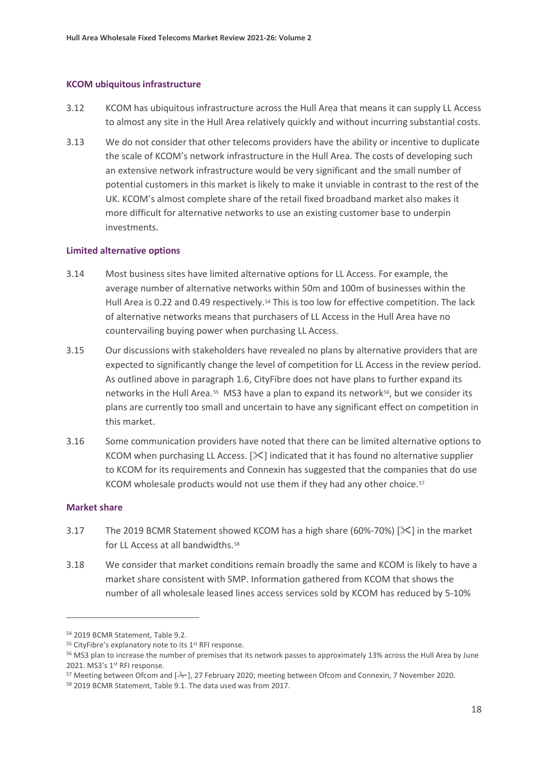#### **KCOM ubiquitous infrastructure**

- 3.12 KCOM has ubiquitous infrastructure across the Hull Area that means it can supply LL Access to almost any site in the Hull Area relatively quickly and without incurring substantial costs.
- 3.13 We do not consider that other telecoms providers have the ability or incentive to duplicate the scale of KCOM's network infrastructure in the Hull Area. The costs of developing such an extensive network infrastructure would be very significant and the small number of potential customers in this market is likely to make it unviable in contrast to the rest of the UK. KCOM's almost complete share of the retail fixed broadband market also makes it more difficult for alternative networks to use an existing customer base to underpin investments.

#### **Limited alternative options**

- 3.14 Most business sites have limited alternative options for LL Access. For example, the average number of alternative networks within 50m and 100m of businesses within the Hull Area is 0.22 and 0.49 respectively.<sup>[54](#page-18-0)</sup> This is too low for effective competition. The lack of alternative networks means that purchasers of LL Access in the Hull Area have no countervailing buying power when purchasing LL Access.
- 3.15 Our discussions with stakeholders have revealed no plans by alternative providers that are expected to significantly change the level of competition for LL Access in the review period. As outlined above in paragraph 1.6, CityFibre does not have plans to further expand its networks in the Hull Area.<sup>[55](#page-18-1)</sup> MS3 have a plan to expand its network<sup>56</sup>, but we consider its plans are currently too small and uncertain to have any significant effect on competition in this market.
- 3.16 Some communication providers have noted that there can be limited alternative options to KCOM when purchasing LL Access.  $[\times]$  indicated that it has found no alternative supplier to KCOM for its requirements and Connexin has suggested that the companies that do use KCOM wholesale products would not use them if they had any other choice.<sup>[57](#page-18-3)</sup>

#### **Market share**

- 3.17 The 2019 BCMR Statement showed KCOM has a high share (60%-70%) [ $\ge$ ] in the market for LL Access at all bandwidths.<sup>[58](#page-18-4)</sup>
- 3.18 We consider that market conditions remain broadly the same and KCOM is likely to have a market share consistent with SMP. Information gathered from KCOM that shows the number of all wholesale leased lines access services sold by KCOM has reduced by 5-10%

<span id="page-18-0"></span><sup>54</sup> 2019 BCMR Statement, Table 9.2.

<span id="page-18-1"></span><sup>55</sup> CityFibre's explanatory note to its 1<sup>st</sup> RFI response.

<span id="page-18-2"></span><sup>&</sup>lt;sup>56</sup> MS3 plan to increase the number of premises that its network passes to approximately 13% across the Hull Area by June 2021. MS3's 1<sup>st</sup> RFI response.

<span id="page-18-4"></span><span id="page-18-3"></span><sup>&</sup>lt;sup>57</sup> Meeting between Ofcom and  $\left[\frac{3}{2}\right]$ , 27 February 2020; meeting between Ofcom and Connexin, 7 November 2020. <sup>58</sup> 2019 BCMR Statement, Table 9.1. The data used was from 2017.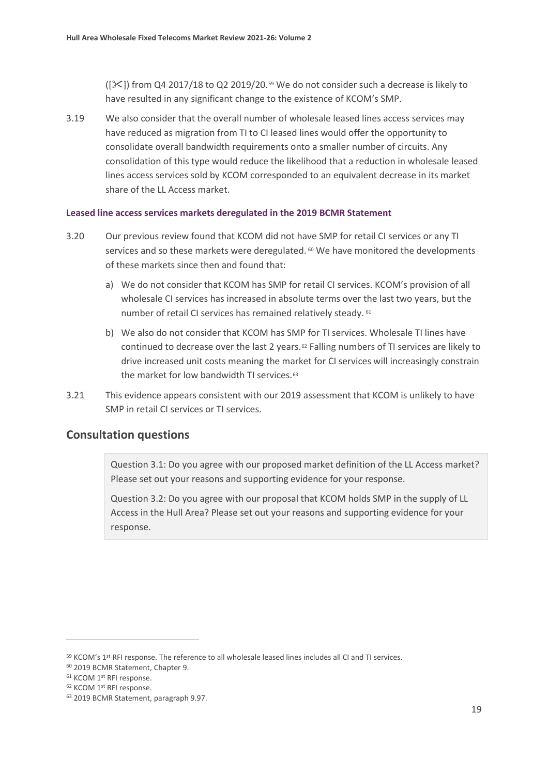$(|\mathcal{X}|)$  from Q4 2017/18 to Q2 2019/20.<sup>59</sup> We do not consider such a decrease is likely to have resulted in any significant change to the existence of KCOM's SMP.

3.19 We also consider that the overall number of wholesale leased lines access services may have reduced as migration from TI to CI leased lines would offer the opportunity to consolidate overall bandwidth requirements onto a smaller number of circuits. Any consolidation of this type would reduce the likelihood that a reduction in wholesale leased lines access services sold by KCOM corresponded to an equivalent decrease in its market share of the LL Access market.

#### **Leased line access services markets deregulated in the 2019 BCMR Statement**

- 3.20 Our previous review found that KCOM did not have SMP for retail CI services or any TI services and so these markets were deregulated. <sup>[60](#page-19-1)</sup> We have monitored the developments of these markets since then and found that:
	- a) We do not consider that KCOM has SMP for retail CI services. KCOM's provision of all wholesale CI services has increased in absolute terms over the last two years, but the number of retail CI services has remained relatively steady. [61](#page-19-2)
	- b) We also do not consider that KCOM has SMP for TI services. Wholesale TI lines have continued to decrease over the last 2 years[.62](#page-19-3) Falling numbers of TI services are likely to drive increased unit costs meaning the market for CI services will increasingly constrain the market for low bandwidth TI services.<sup>63</sup>
- 3.21 This evidence appears consistent with our 2019 assessment that KCOM is unlikely to have SMP in retail CI services or TI services.

### **Consultation questions**

Question 3.1: Do you agree with our proposed market definition of the LL Access market? Please set out your reasons and supporting evidence for your response.

Question 3.2: Do you agree with our proposal that KCOM holds SMP in the supply of LL Access in the Hull Area? Please set out your reasons and supporting evidence for your response.

<span id="page-19-0"></span><sup>59</sup> KCOM's 1st RFI response. The reference to all wholesale leased lines includes all CI and TI services.

<span id="page-19-2"></span><span id="page-19-1"></span> $60$  2019 BCMR Statement, Chapter 9.<br> $61$  KCOM 1<sup>st</sup> RFI response.<br> $62$  KCOM 1<sup>st</sup> RFI response.

<span id="page-19-4"></span><span id="page-19-3"></span><sup>63</sup> 2019 BCMR Statement, paragraph 9.97.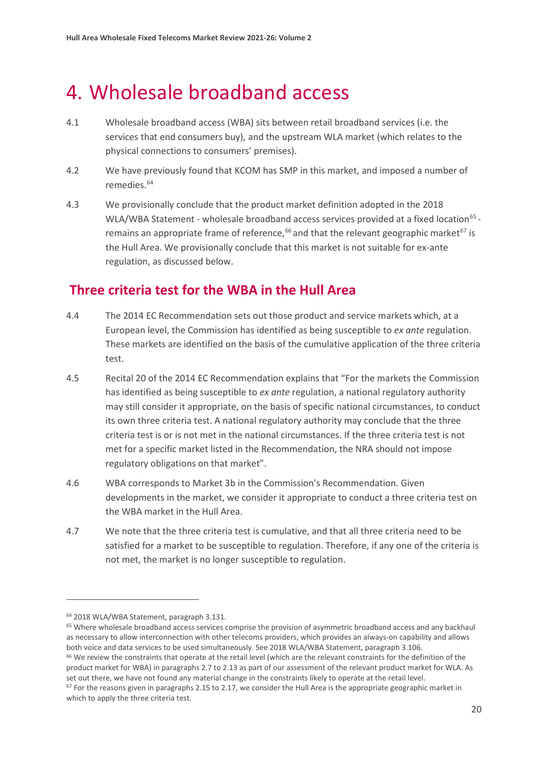# <span id="page-20-0"></span>4. Wholesale broadband access

- 4.1 Wholesale broadband access (WBA) sits between retail broadband services (i.e. the services that end consumers buy), and the upstream WLA market (which relates to the physical connections to consumers' premises).
- 4.2 We have previously found that KCOM has SMP in this market, and imposed a number of remedies. [64](#page-20-1)
- 4.3 We provisionally conclude that the product market definition adopted in the 2018 WLA/WBA Statement - wholesale broadband access services provided at a fixed location<sup>[65](#page-20-2)</sup> -remains an appropriate frame of reference,<sup>[66](#page-20-3)</sup> and that the relevant geographic market<sup>[67](#page-20-4)</sup> is the Hull Area. We provisionally conclude that this market is not suitable for ex-ante regulation, as discussed below.

# **Three criteria test for the WBA in the Hull Area**

- 4.4 The 2014 EC Recommendation sets out those product and service markets which, at a European level, the Commission has identified as being susceptible to *ex ante* regulation. These markets are identified on the basis of the cumulative application of the three criteria test.
- 4.5 Recital 20 of the 2014 EC Recommendation explains that "For the markets the Commission has identified as being susceptible to *ex ante* regulation, a national regulatory authority may still consider it appropriate, on the basis of specific national circumstances, to conduct its own three criteria test. A national regulatory authority may conclude that the three criteria test is or is not met in the national circumstances. If the three criteria test is not met for a specific market listed in the Recommendation, the NRA should not impose regulatory obligations on that market".
- 4.6 WBA corresponds to Market 3b in the Commission's Recommendation. Given developments in the market, we consider it appropriate to conduct a three criteria test on the WBA market in the Hull Area.
- 4.7 We note that the three criteria test is cumulative, and that all three criteria need to be satisfied for a market to be susceptible to regulation. Therefore, if any one of the criteria is not met, the market is no longer susceptible to regulation.

<span id="page-20-1"></span><sup>64</sup> 2018 WLA/WBA Statement, paragraph 3.131.

<span id="page-20-2"></span><sup>65</sup> Where wholesale broadband access services comprise the provision of asymmetric broadband access and any backhaul as necessary to allow interconnection with other telecoms providers, which provides an always-on capability and allows both voice and data services to be used simultaneously. See 2018 WLA/WBA Statement, paragraph 3.106. <sup>66</sup> We review the constraints that operate at the retail level (which are the relevant constraints for the definition of the product market for WBA) in paragraphs 2.7 to 2.13 as part of our assessment of the relevant product market for WLA. As

<span id="page-20-4"></span><span id="page-20-3"></span>set out there, we have not found any material change in the constraints likely to operate at the retail level.  $67$  For the reasons given in paragraphs 2.15 to 2.17, we consider the Hull Area is the appropriate geographic market in which to apply the three criteria test.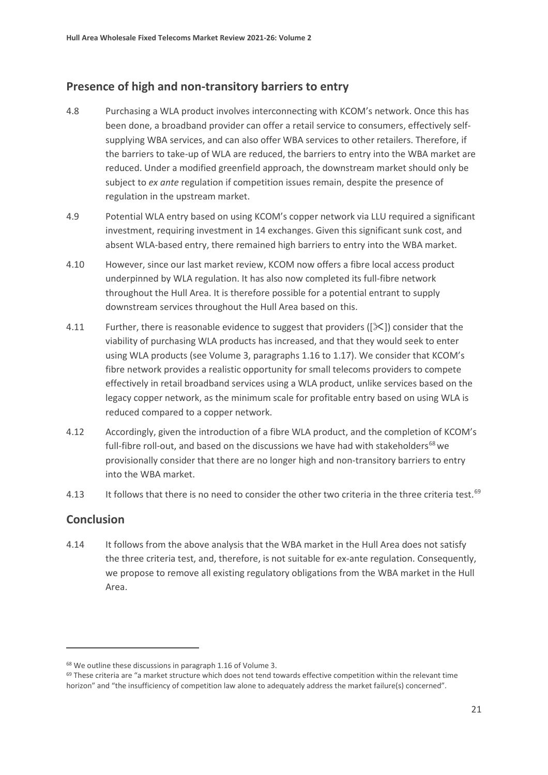## **Presence of high and non-transitory barriers to entry**

- 4.8 Purchasing a WLA product involves interconnecting with KCOM's network. Once this has been done, a broadband provider can offer a retail service to consumers, effectively selfsupplying WBA services, and can also offer WBA services to other retailers. Therefore, if the barriers to take-up of WLA are reduced, the barriers to entry into the WBA market are reduced. Under a modified greenfield approach, the downstream market should only be subject to *ex ante* regulation if competition issues remain, despite the presence of regulation in the upstream market.
- 4.9 Potential WLA entry based on using KCOM's copper network via LLU required a significant investment, requiring investment in 14 exchanges. Given this significant sunk cost, and absent WLA-based entry, there remained high barriers to entry into the WBA market.
- 4.10 However, since our last market review, KCOM now offers a fibre local access product underpinned by WLA regulation. It has also now completed its full-fibre network throughout the Hull Area. It is therefore possible for a potential entrant to supply downstream services throughout the Hull Area based on this.
- 4.11 Further, there is reasonable evidence to suggest that providers ( $[\times]$ ) consider that the viability of purchasing WLA products has increased, and that they would seek to enter using WLA products (see Volume 3, paragraphs 1.16 to 1.17). We consider that KCOM's fibre network provides a realistic opportunity for small telecoms providers to compete effectively in retail broadband services using a WLA product, unlike services based on the legacy copper network, as the minimum scale for profitable entry based on using WLA is reduced compared to a copper network.
- 4.12 Accordingly, given the introduction of a fibre WLA product, and the completion of KCOM's full-fibre roll-out, and based on the discussions we have had with stakeholders $^{68}$  $^{68}$  $^{68}$  we provisionally consider that there are no longer high and non-transitory barriers to entry into the WBA market.
- 4.13 It follows that there is no need to consider the other two criteria in the three criteria test.<sup>[69](#page-21-1)</sup>

## **Conclusion**

4.14 It follows from the above analysis that the WBA market in the Hull Area does not satisfy the three criteria test, and, therefore, is not suitable for ex-ante regulation. Consequently, we propose to remove all existing regulatory obligations from the WBA market in the Hull Area.

<span id="page-21-0"></span><sup>68</sup> We outline these discussions in paragraph 1.16 of Volume 3.

<span id="page-21-1"></span> $69$  These criteria are "a market structure which does not tend towards effective competition within the relevant time horizon" and "the insufficiency of competition law alone to adequately address the market failure(s) concerned".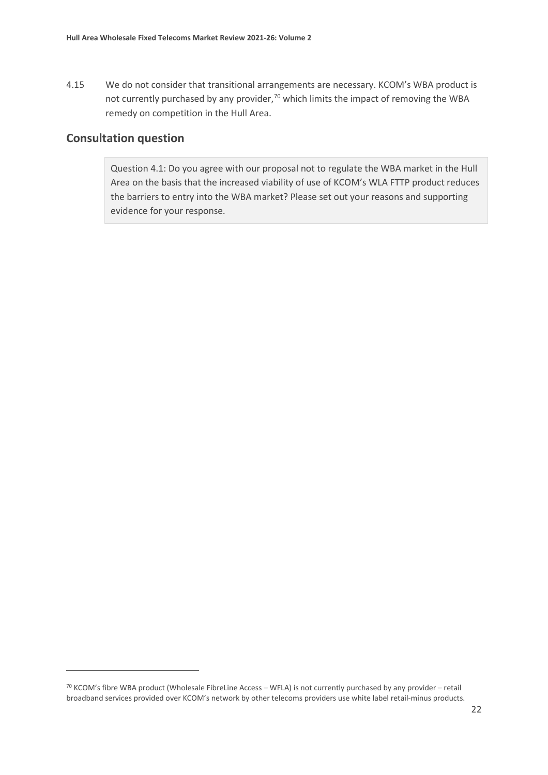4.15 We do not consider that transitional arrangements are necessary. KCOM's WBA product is not currently purchased by any provider,<sup>[70](#page-22-0)</sup> which limits the impact of removing the WBA remedy on competition in the Hull Area.

## **Consultation question**

Question 4.1: Do you agree with our proposal not to regulate the WBA market in the Hull Area on the basis that the increased viability of use of KCOM's WLA FTTP product reduces the barriers to entry into the WBA market? Please set out your reasons and supporting evidence for your response.

<span id="page-22-0"></span> $70$  KCOM's fibre WBA product (Wholesale FibreLine Access – WFLA) is not currently purchased by any provider – retail broadband services provided over KCOM's network by other telecoms providers use white label retail-minus products.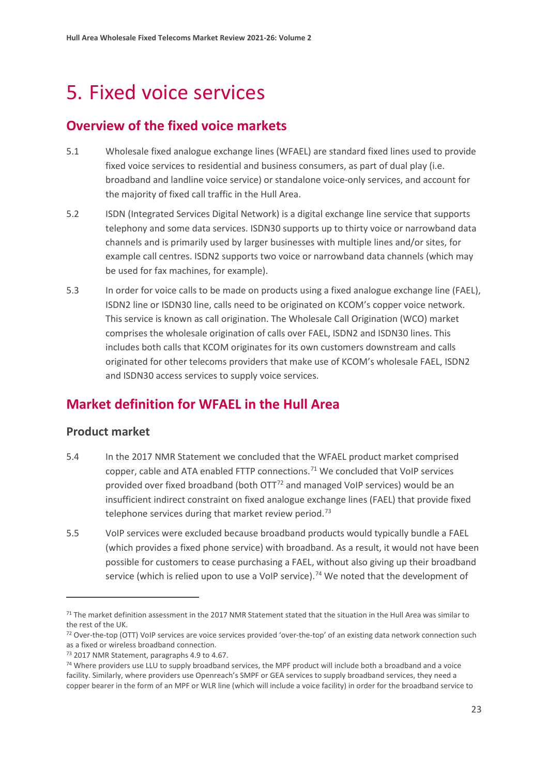# <span id="page-23-0"></span>5. Fixed voice services

# **Overview of the fixed voice markets**

- 5.1 Wholesale fixed analogue exchange lines (WFAEL) are standard fixed lines used to provide fixed voice services to residential and business consumers, as part of dual play (i.e. broadband and landline voice service) or standalone voice-only services, and account for the majority of fixed call traffic in the Hull Area.
- 5.2 ISDN (Integrated Services Digital Network) is a digital exchange line service that supports telephony and some data services. ISDN30 supports up to thirty voice or narrowband data channels and is primarily used by larger businesses with multiple lines and/or sites, for example call centres. ISDN2 supports two voice or narrowband data channels (which may be used for fax machines, for example).
- 5.3 In order for voice calls to be made on products using a fixed analogue exchange line (FAEL), ISDN2 line or ISDN30 line, calls need to be originated on KCOM's copper voice network. This service is known as call origination. The Wholesale Call Origination (WCO) market comprises the wholesale origination of calls over FAEL, ISDN2 and ISDN30 lines. This includes both calls that KCOM originates for its own customers downstream and calls originated for other telecoms providers that make use of KCOM's wholesale FAEL, ISDN2 and ISDN30 access services to supply voice services.

# **Market definition for WFAEL in the Hull Area**

## **Product market**

- 5.4 In the 2017 NMR Statement we concluded that the WFAEL product market comprised copper, cable and ATA enabled FTTP connections.<sup>[71](#page-23-1)</sup> We concluded that VoIP services provided over fixed broadband (both  $\text{OTT}^{72}$  $\text{OTT}^{72}$  $\text{OTT}^{72}$  and managed VoIP services) would be an insufficient indirect constraint on fixed analogue exchange lines (FAEL) that provide fixed telephone services during that market review period.<sup>[73](#page-23-3)</sup>
- 5.5 VoIP services were excluded because broadband products would typically bundle a FAEL (which provides a fixed phone service) with broadband. As a result, it would not have been possible for customers to cease purchasing a FAEL, without also giving up their broadband service (which is relied upon to use a VoIP service).<sup>[74](#page-23-4)</sup> We noted that the development of

<span id="page-23-1"></span> $71$  The market definition assessment in the 2017 NMR Statement stated that the situation in the Hull Area was similar to the rest of the UK.

<span id="page-23-2"></span><sup>&</sup>lt;sup>72</sup> Over-the-top (OTT) VoIP services are voice services provided 'over-the-top' of an existing data network connection such as a fixed or wireless broadband connection.

<span id="page-23-4"></span><span id="page-23-3"></span> $^{73}$  2017 NMR Statement, paragraphs 4.9 to 4.67.<br> $^{74}$  Where providers use LLU to supply broadband services, the MPF product will include both a broadband and a voice facility. Similarly, where providers use Openreach's SMPF or GEA services to supply broadband services, they need a copper bearer in the form of an MPF or WLR line (which will include a voice facility) in order for the broadband service to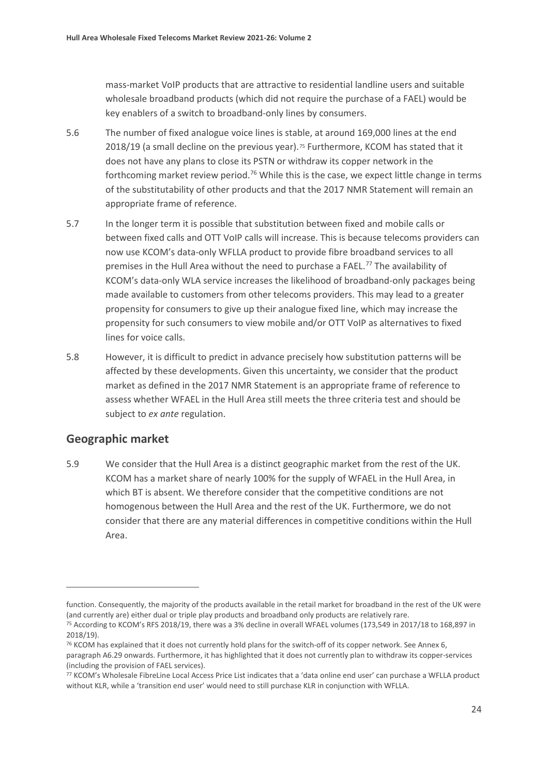mass-market VoIP products that are attractive to residential landline users and suitable wholesale broadband products (which did not require the purchase of a FAEL) would be key enablers of a switch to broadband-only lines by consumers.

- 5.6 The number of fixed analogue voice lines is stable, at around 169,000 lines at the end 2018/19 (a small decline on the previous year).[75](#page-24-0) Furthermore, KCOM has stated that it does not have any plans to close its PSTN or withdraw its copper network in the forthcoming market review period.<sup>[76](#page-24-1)</sup> While this is the case, we expect little change in terms of the substitutability of other products and that the 2017 NMR Statement will remain an appropriate frame of reference.
- 5.7 In the longer term it is possible that substitution between fixed and mobile calls or between fixed calls and OTT VoIP calls will increase. This is because telecoms providers can now use KCOM's data-only WFLLA product to provide fibre broadband services to all premises in the Hull Area without the need to purchase a FAEL.[77](#page-24-2) The availability of KCOM's data-only WLA service increases the likelihood of broadband-only packages being made available to customers from other telecoms providers. This may lead to a greater propensity for consumers to give up their analogue fixed line, which may increase the propensity for such consumers to view mobile and/or OTT VoIP as alternatives to fixed lines for voice calls.
- 5.8 However, it is difficult to predict in advance precisely how substitution patterns will be affected by these developments. Given this uncertainty, we consider that the product market as defined in the 2017 NMR Statement is an appropriate frame of reference to assess whether WFAEL in the Hull Area still meets the three criteria test and should be subject to *ex ante* regulation.

## **Geographic market**

5.9 We consider that the Hull Area is a distinct geographic market from the rest of the UK. KCOM has a market share of nearly 100% for the supply of WFAEL in the Hull Area, in which BT is absent. We therefore consider that the competitive conditions are not homogenous between the Hull Area and the rest of the UK. Furthermore, we do not consider that there are any material differences in competitive conditions within the Hull Area.

function. Consequently, the majority of the products available in the retail market for broadband in the rest of the UK were (and currently are) either dual or triple play products and broadband only products are relatively rare.

<span id="page-24-0"></span><sup>&</sup>lt;sup>75</sup> According to KCOM's RFS 2018/19, there was a 3% decline in overall WFAEL volumes (173,549 in 2017/18 to 168,897 in 2018/19).

<span id="page-24-1"></span><sup>&</sup>lt;sup>76</sup> KCOM has explained that it does not currently hold plans for the switch-off of its copper network. See Annex 6, paragraph A6.29 onwards. Furthermore, it has highlighted that it does not currently plan to withdraw its copper-services (including the provision of FAEL services).

<span id="page-24-2"></span><sup>77</sup> KCOM's Wholesale FibreLine Local Access Price List indicates that a 'data online end user' can purchase a WFLLA product without KLR, while a 'transition end user' would need to still purchase KLR in conjunction with WFLLA.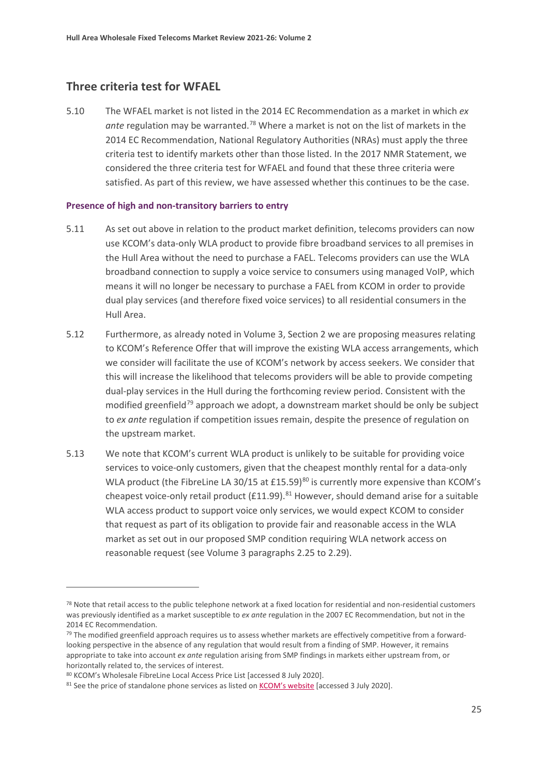## **Three criteria test for WFAEL**

5.10 The WFAEL market is not listed in the 2014 EC Recommendation as a market in which *ex*  ante regulation may be warranted.<sup>[78](#page-25-0)</sup> Where a market is not on the list of markets in the 2014 EC Recommendation, National Regulatory Authorities (NRAs) must apply the three criteria test to identify markets other than those listed. In the 2017 NMR Statement, we considered the three criteria test for WFAEL and found that these three criteria were satisfied. As part of this review, we have assessed whether this continues to be the case.

#### **Presence of high and non-transitory barriers to entry**

- 5.11 As set out above in relation to the product market definition, telecoms providers can now use KCOM's data-only WLA product to provide fibre broadband services to all premises in the Hull Area without the need to purchase a FAEL. Telecoms providers can use the WLA broadband connection to supply a voice service to consumers using managed VoIP, which means it will no longer be necessary to purchase a FAEL from KCOM in order to provide dual play services (and therefore fixed voice services) to all residential consumers in the Hull Area.
- 5.12 Furthermore, as already noted in Volume 3, Section 2 we are proposing measures relating to KCOM's Reference Offer that will improve the existing WLA access arrangements, which we consider will facilitate the use of KCOM's network by access seekers. We consider that this will increase the likelihood that telecoms providers will be able to provide competing dual-play services in the Hull during the forthcoming review period. Consistent with the modified greenfield<sup>[79](#page-25-1)</sup> approach we adopt, a downstream market should be only be subject to *ex ante* regulation if competition issues remain, despite the presence of regulation on the upstream market.
- 5.13 We note that KCOM's current WLA product is unlikely to be suitable for providing voice services to voice-only customers, given that the cheapest monthly rental for a data-only WLA product (the FibreLine LA 30/15 at £15.59)<sup>80</sup> is currently more expensive than KCOM's cheapest voice-only retail product (£11.99). $81$  However, should demand arise for a suitable WLA access product to support voice only services, we would expect KCOM to consider that request as part of its obligation to provide fair and reasonable access in the WLA market as set out in our proposed SMP condition requiring WLA network access on reasonable request (see Volume 3 paragraphs 2.25 to 2.29).

<span id="page-25-0"></span><sup>78</sup> Note that retail access to the public telephone network at a fixed location for residential and non-residential customers was previously identified as a market susceptible to *ex ante* regulation in the 2007 EC Recommendation, but not in the 2014 EC Recommendation.

<span id="page-25-1"></span> $79$  The modified greenfield approach requires us to assess whether markets are effectively competitive from a forwardlooking perspective in the absence of any regulation that would result from a finding of SMP. However, it remains appropriate to take into account *ex ante* regulation arising from SMP findings in markets either upstream from, or horizontally related to, the services of interest.

<span id="page-25-2"></span><sup>80</sup> KCOM's Wholesale FibreLine Local Access Price List [accessed 8 July 2020].

<span id="page-25-3"></span><sup>81</sup> See the price of standalone phone services as listed on [KCOM's](https://www.kcomhome.com/calls/?kcomid=4fbb2cf1-fa86-4560-98e4-a8f20a5d5481) website [accessed 3 July 2020].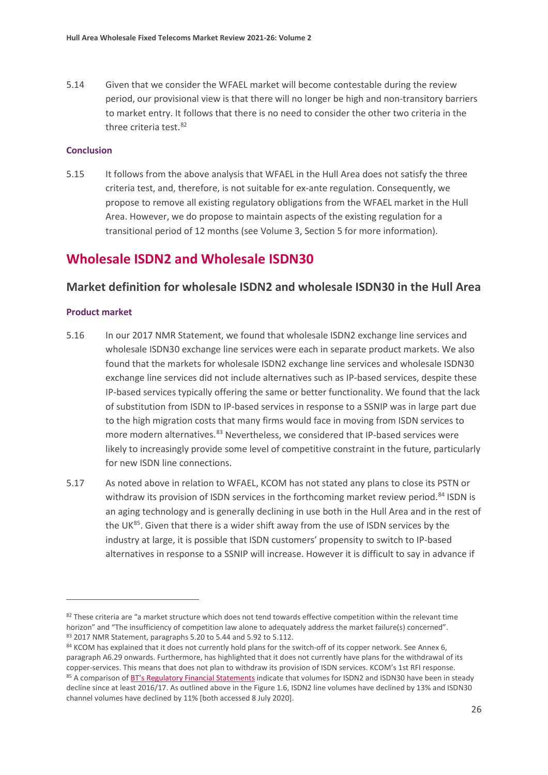5.14 Given that we consider the WFAEL market will become contestable during the review period, our provisional view is that there will no longer be high and non-transitory barriers to market entry. It follows that there is no need to consider the other two criteria in the three criteria test.<sup>[82](#page-26-0)</sup>

#### **Conclusion**

5.15 It follows from the above analysis that WFAEL in the Hull Area does not satisfy the three criteria test, and, therefore, is not suitable for ex-ante regulation. Consequently, we propose to remove all existing regulatory obligations from the WFAEL market in the Hull Area. However, we do propose to maintain aspects of the existing regulation for a transitional period of 12 months (see Volume 3, Section 5 for more information).

# **Wholesale ISDN2 and Wholesale ISDN30**

### **Market definition for wholesale ISDN2 and wholesale ISDN30 in the Hull Area**

#### **Product market**

- 5.16 In our 2017 NMR Statement, we found that wholesale ISDN2 exchange line services and wholesale ISDN30 exchange line services were each in separate product markets. We also found that the markets for wholesale ISDN2 exchange line services and wholesale ISDN30 exchange line services did not include alternatives such as IP-based services, despite these IP-based services typically offering the same or better functionality. We found that the lack of substitution from ISDN to IP-based services in response to a SSNIP was in large part due to the high migration costs that many firms would face in moving from ISDN services to more modern alternatives.<sup>[83](#page-26-1)</sup> Nevertheless, we considered that IP-based services were likely to increasingly provide some level of competitive constraint in the future, particularly for new ISDN line connections.
- 5.17 As noted above in relation to WFAEL, KCOM has not stated any plans to close its PSTN or withdraw its provision of ISDN services in the forthcoming market review period.<sup>[84](#page-26-2)</sup> ISDN is an aging technology and is generally declining in use both in the Hull Area and in the rest of the UK<sup>[85](#page-26-3)</sup>. Given that there is a wider shift away from the use of ISDN services by the industry at large, it is possible that ISDN customers' propensity to switch to IP-based alternatives in response to a SSNIP will increase. However it is difficult to say in advance if

<span id="page-26-0"></span><sup>82</sup> These criteria are "a market structure which does not tend towards effective competition within the relevant time horizon" and "The insufficiency of competition law alone to adequately address the market failure(s) concerned". <sup>83</sup> 2017 NMR Statement, paragraphs 5.20 to 5.44 and 5.92 to 5.112.

<span id="page-26-3"></span><span id="page-26-2"></span><span id="page-26-1"></span><sup>84</sup> KCOM has explained that it does not currently hold plans for the switch-off of its copper network. See Annex 6, paragraph A6.29 onwards. Furthermore, has highlighted that it does not currently have plans for the withdrawal of its copper-services. This means that does not plan to withdraw its provision of ISDN services. KCOM's 1st RFI response. 85 A comparison of [BT's Regulatory Financial Statements](https://www.bt.com/about/investors/financial-reporting-and-news/annual-reports) indicate that volumes for ISDN2 and ISDN30 have been in steady decline since at least 2016/17. As outlined above in the Figure 1.6, ISDN2 line volumes have declined by 13% and ISDN30 channel volumes have declined by 11% [both accessed 8 July 2020].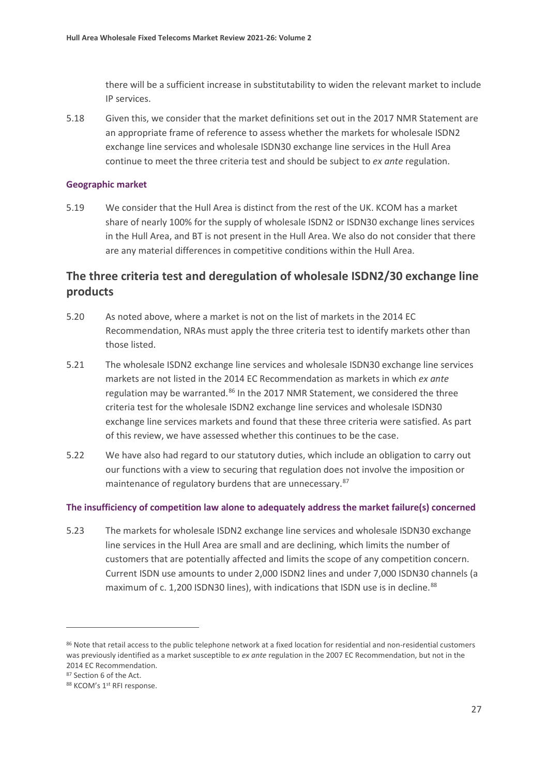there will be a sufficient increase in substitutability to widen the relevant market to include IP services.

5.18 Given this, we consider that the market definitions set out in the 2017 NMR Statement are an appropriate frame of reference to assess whether the markets for wholesale ISDN2 exchange line services and wholesale ISDN30 exchange line services in the Hull Area continue to meet the three criteria test and should be subject to *ex ante* regulation.

#### **Geographic market**

5.19 We consider that the Hull Area is distinct from the rest of the UK. KCOM has a market share of nearly 100% for the supply of wholesale ISDN2 or ISDN30 exchange lines services in the Hull Area, and BT is not present in the Hull Area. We also do not consider that there are any material differences in competitive conditions within the Hull Area.

# **The three criteria test and deregulation of wholesale ISDN2/30 exchange line products**

- 5.20 As noted above, where a market is not on the list of markets in the 2014 EC Recommendation, NRAs must apply the three criteria test to identify markets other than those listed.
- 5.21 The wholesale ISDN2 exchange line services and wholesale ISDN30 exchange line services markets are not listed in the 2014 EC Recommendation as markets in which *ex ante* regulation may be warranted.<sup>[86](#page-27-0)</sup> In the 2017 NMR Statement, we considered the three criteria test for the wholesale ISDN2 exchange line services and wholesale ISDN30 exchange line services markets and found that these three criteria were satisfied. As part of this review, we have assessed whether this continues to be the case.
- 5.22 We have also had regard to our statutory duties, which include an obligation to carry out our functions with a view to securing that regulation does not involve the imposition or maintenance of regulatory burdens that are unnecessary.<sup>[87](#page-27-1)</sup>

#### **The insufficiency of competition law alone to adequately address the market failure(s) concerned**

5.23 The markets for wholesale ISDN2 exchange line services and wholesale ISDN30 exchange line services in the Hull Area are small and are declining, which limits the number of customers that are potentially affected and limits the scope of any competition concern. Current ISDN use amounts to under 2,000 ISDN2 lines and under 7,000 ISDN30 channels (a maximum of c. 1,200 ISDN30 lines), with indications that ISDN use is in decline.<sup>[88](#page-27-2)</sup>

<span id="page-27-0"></span><sup>86</sup> Note that retail access to the public telephone network at a fixed location for residential and non-residential customers was previously identified as a market susceptible to *ex ante* regulation in the 2007 EC Recommendation, but not in the 2014 EC Recommendation.

<span id="page-27-1"></span><sup>87</sup> Section 6 of the Act.

<span id="page-27-2"></span><sup>88</sup> KCOM's 1st RFI response.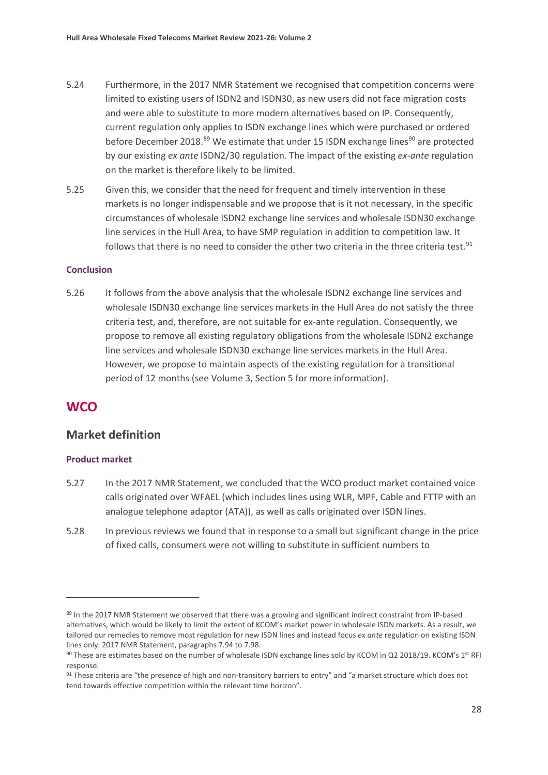- 5.24 Furthermore, in the 2017 NMR Statement we recognised that competition concerns were limited to existing users of ISDN2 and ISDN30, as new users did not face migration costs and were able to substitute to more modern alternatives based on IP. Consequently, current regulation only applies to ISDN exchange lines which were purchased or ordered before December 2018.<sup>[89](#page-28-0)</sup> We estimate that under 15 ISDN exchange lines<sup>[90](#page-28-1)</sup> are protected by our existing *ex ante* ISDN2/30 regulation. The impact of the existing *ex-ante* regulation on the market is therefore likely to be limited.
- 5.25 Given this, we consider that the need for frequent and timely intervention in these markets is no longer indispensable and we propose that is it not necessary, in the specific circumstances of wholesale ISDN2 exchange line services and wholesale ISDN30 exchange line services in the Hull Area, to have SMP regulation in addition to competition law. It follows that there is no need to consider the other two criteria in the three criteria test. $91$

#### **Conclusion**

5.26 It follows from the above analysis that the wholesale ISDN2 exchange line services and wholesale ISDN30 exchange line services markets in the Hull Area do not satisfy the three criteria test, and, therefore, are not suitable for ex-ante regulation. Consequently, we propose to remove all existing regulatory obligations from the wholesale ISDN2 exchange line services and wholesale ISDN30 exchange line services markets in the Hull Area. However, we propose to maintain aspects of the existing regulation for a transitional period of 12 months (see Volume 3, Section 5 for more information).

## **WCO**

### **Market definition**

#### **Product market**

- 5.27 In the 2017 NMR Statement, we concluded that the WCO product market contained voice calls originated over WFAEL (which includes lines using WLR, MPF, Cable and FTTP with an analogue telephone adaptor (ATA)), as well as calls originated over ISDN lines.
- 5.28 In previous reviews we found that in response to a small but significant change in the price of fixed calls, consumers were not willing to substitute in sufficient numbers to

<span id="page-28-0"></span><sup>89</sup> In the 2017 NMR Statement we observed that there was a growing and significant indirect constraint from IP-based alternatives, which would be likely to limit the extent of KCOM's market power in wholesale ISDN markets. As a result, we tailored our remedies to remove most regulation for new ISDN lines and instead focus *ex ante* regulation on existing ISDN lines only. 2017 NMR Statement, paragraphs 7.94 to 7.98.

<span id="page-28-1"></span><sup>90</sup> These are estimates based on the number of wholesale ISDN exchange lines sold by KCOM in Q2 2018/19. KCOM's 1<sup>st</sup> RFI response.

<span id="page-28-2"></span><sup>91</sup> These criteria are "the presence of high and non-transitory barriers to entry" and "a market structure which does not tend towards effective competition within the relevant time horizon".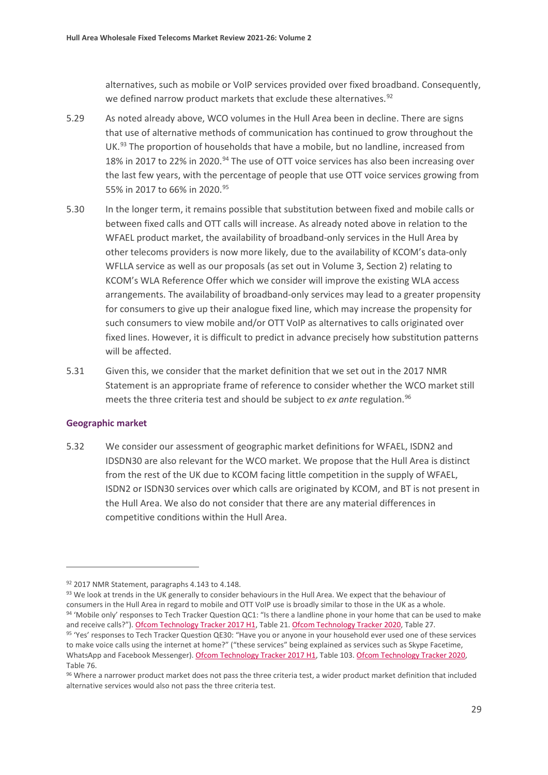alternatives, such as mobile or VoIP services provided over fixed broadband. Consequently, we defined narrow product markets that exclude these alternatives.<sup>[92](#page-29-0)</sup>

- 5.29 As noted already above, WCO volumes in the Hull Area been in decline. There are signs that use of alternative methods of communication has continued to grow throughout the UK. [93](#page-29-1) The proportion of households that have a mobile, but no landline, increased from 18% in 2017 to 22% in 2020.<sup>[94](#page-29-2)</sup> The use of OTT voice services has also been increasing over the last few years, with the percentage of people that use OTT voice services growing from 55% in 2017 to 66% in 2020. [95](#page-29-3)
- 5.30 In the longer term, it remains possible that substitution between fixed and mobile calls or between fixed calls and OTT calls will increase. As already noted above in relation to the WFAEL product market, the availability of broadband-only services in the Hull Area by other telecoms providers is now more likely, due to the availability of KCOM's data-only WFLLA service as well as our proposals (as set out in Volume 3, Section 2) relating to KCOM's WLA Reference Offer which we consider will improve the existing WLA access arrangements. The availability of broadband-only services may lead to a greater propensity for consumers to give up their analogue fixed line, which may increase the propensity for such consumers to view mobile and/or OTT VoIP as alternatives to calls originated over fixed lines. However, it is difficult to predict in advance precisely how substitution patterns will be affected.
- 5.31 Given this, we consider that the market definition that we set out in the 2017 NMR Statement is an appropriate frame of reference to consider whether the WCO market still meets the three criteria test and should be subject to *ex ante* regulation.<sup>96</sup>

#### **Geographic market**

5.32 We consider our assessment of geographic market definitions for WFAEL, ISDN2 and IDSDN30 are also relevant for the WCO market. We propose that the Hull Area is distinct from the rest of the UK due to KCOM facing little competition in the supply of WFAEL, ISDN2 or ISDN30 services over which calls are originated by KCOM, and BT is not present in the Hull Area. We also do not consider that there are any material differences in competitive conditions within the Hull Area.

<span id="page-29-2"></span><span id="page-29-1"></span><span id="page-29-0"></span> $92$  2017 NMR Statement, paragraphs 4.143 to 4.148.<br> $93$  We look at trends in the UK generally to consider behaviours in the Hull Area. We expect that the behaviour of consumers in the Hull Area in regard to mobile and OTT VoIP use is broadly similar to those in the UK as a whole. 94 'Mobile only' responses to Tech Tracker Question QC1: "Is there a landline phone in your home that can be used to make and receive calls?"). [Ofcom Technology Tracker 2017 H1,](https://www.ofcom.org.uk/__data/assets/pdf_file/0015/101292/technology-tracker-data-tables-h1-2017.pdf) Table 21. [Ofcom Technology Tracker 2020,](https://www.ofcom.org.uk/__data/assets/pdf_file/0037/194878/technology-tracker-2020-uk-data-tables.pdf) Table 27. 95 'Yes' responses to Tech Tracker Question QE30: "Have you or anyone in your household ever used one of these services to make voice calls using the internet at home?" ("these services" being explained as services such as Skype Facetime, WhatsApp and Facebook Messenger)[. Ofcom Technology Tracker 2017 H1,](https://www.ofcom.org.uk/__data/assets/pdf_file/0015/101292/technology-tracker-data-tables-h1-2017.pdf) Table 103. [Ofcom Technology Tracker 2020,](https://www.ofcom.org.uk/__data/assets/pdf_file/0037/194878/technology-tracker-2020-uk-data-tables.pdf) Table 76.

<span id="page-29-4"></span><span id="page-29-3"></span><sup>96</sup> Where a narrower product market does not pass the three criteria test, a wider product market definition that included alternative services would also not pass the three criteria test.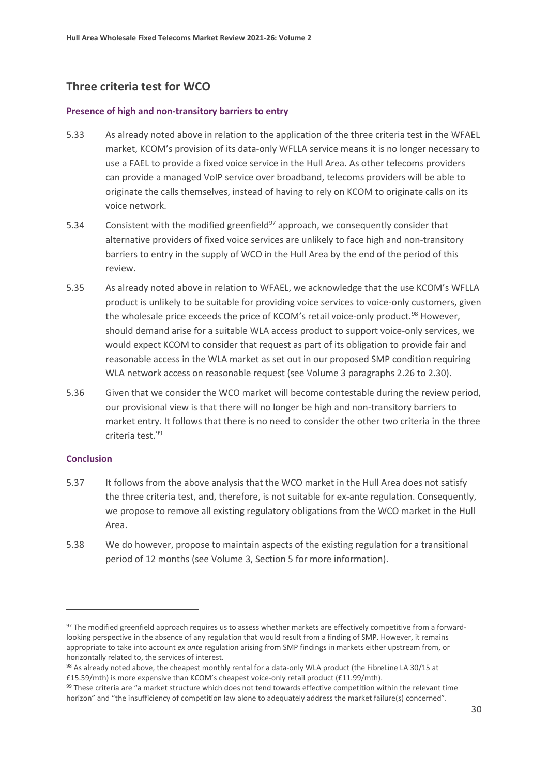# **Three criteria test for WCO**

#### **Presence of high and non-transitory barriers to entry**

- 5.33 As already noted above in relation to the application of the three criteria test in the WFAEL market, KCOM's provision of its data-only WFLLA service means it is no longer necessary to use a FAEL to provide a fixed voice service in the Hull Area. As other telecoms providers can provide a managed VoIP service over broadband, telecoms providers will be able to originate the calls themselves, instead of having to rely on KCOM to originate calls on its voice network.
- 5.34 Consistent with the modified greenfield $97$  approach, we consequently consider that alternative providers of fixed voice services are unlikely to face high and non-transitory barriers to entry in the supply of WCO in the Hull Area by the end of the period of this review.
- 5.35 As already noted above in relation to WFAEL, we acknowledge that the use KCOM's WFLLA product is unlikely to be suitable for providing voice services to voice-only customers, given the wholesale price exceeds the price of KCOM's retail voice-only product.<sup>[98](#page-30-1)</sup> However, should demand arise for a suitable WLA access product to support voice-only services, we would expect KCOM to consider that request as part of its obligation to provide fair and reasonable access in the WLA market as set out in our proposed SMP condition requiring WLA network access on reasonable request (see Volume 3 paragraphs 2.26 to 2.30).
- 5.36 Given that we consider the WCO market will become contestable during the review period, our provisional view is that there will no longer be high and non-transitory barriers to market entry. It follows that there is no need to consider the other two criteria in the three criteria test.[99](#page-30-2)

#### **Conclusion**

- 5.37 It follows from the above analysis that the WCO market in the Hull Area does not satisfy the three criteria test, and, therefore, is not suitable for ex-ante regulation. Consequently, we propose to remove all existing regulatory obligations from the WCO market in the Hull Area.
- 5.38 We do however, propose to maintain aspects of the existing regulation for a transitional period of 12 months (see Volume 3, Section 5 for more information).

<span id="page-30-0"></span><sup>97</sup> The modified greenfield approach requires us to assess whether markets are effectively competitive from a forwardlooking perspective in the absence of any regulation that would result from a finding of SMP. However, it remains appropriate to take into account *ex ante* regulation arising from SMP findings in markets either upstream from, or horizontally related to, the services of interest.

<span id="page-30-1"></span><sup>98</sup> As already noted above, the cheapest monthly rental for a data-only WLA product (the FibreLine LA 30/15 at £15.59/mth) is more expensive than KCOM's cheapest voice-only retail product (£11.99/mth).

<span id="page-30-2"></span><sup>99</sup> These criteria are "a market structure which does not tend towards effective competition within the relevant time horizon" and "the insufficiency of competition law alone to adequately address the market failure(s) concerned".